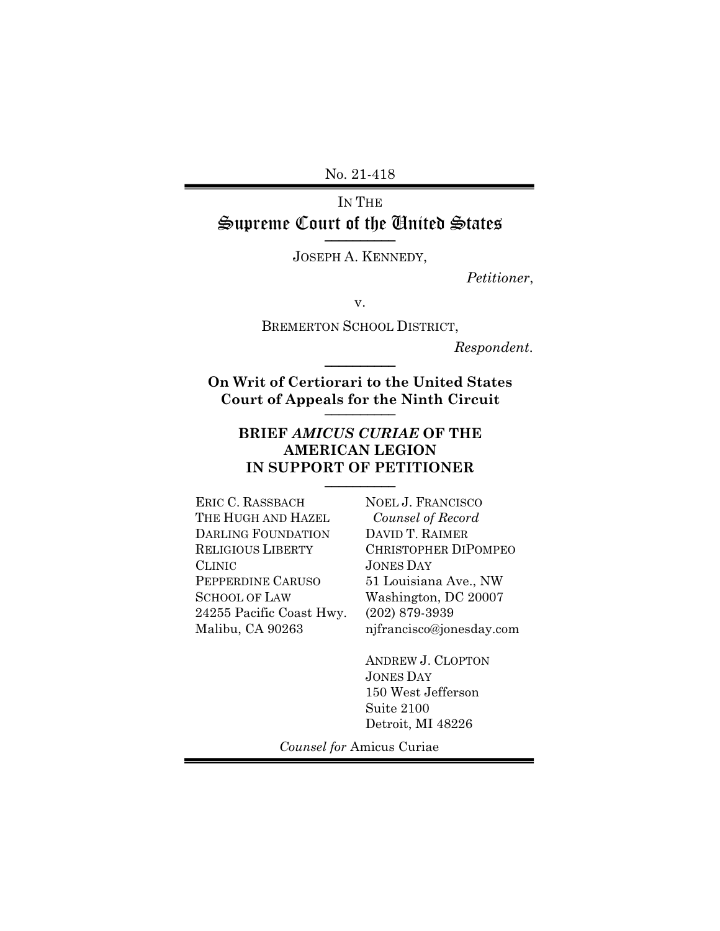No. 21-418

### IN THE Supreme Court of the United States \_\_\_\_\_\_\_\_\_\_

JOSEPH A. KENNEDY,

*Petitioner*,

v.

BREMERTON SCHOOL DISTRICT,

*Respondent*. \_\_\_\_\_\_\_\_\_\_

**On Writ of Certiorari to the United States Court of Appeals for the Ninth Circuit** \_\_\_\_\_\_\_\_\_\_

### **BRIEF** *AMICUS CURIAE* **OF THE AMERICAN LEGION**  IN SUPPORT OF PETITIONER

ERIC C. RASSBACH THE HUGH AND HAZEL DARLING FOUNDATION RELIGIOUS LIBERTY CLINIC PEPPERDINE CARUSO SCHOOL OF LAW 24255 Pacific Coast Hwy. Malibu, CA 90263

NOEL J. FRANCISCO *Counsel of Record* DAVID T. RAIMER CHRISTOPHER DIPOMPEO JONES DAY 51 Louisiana Ave., NW Washington, DC 20007 (202) 879-3939 njfrancisco@jonesday.com

ANDREW J. CLOPTON JONES DAY 150 West Jefferson Suite 2100 Detroit, MI 48226

*Counsel for* Amicus Curiae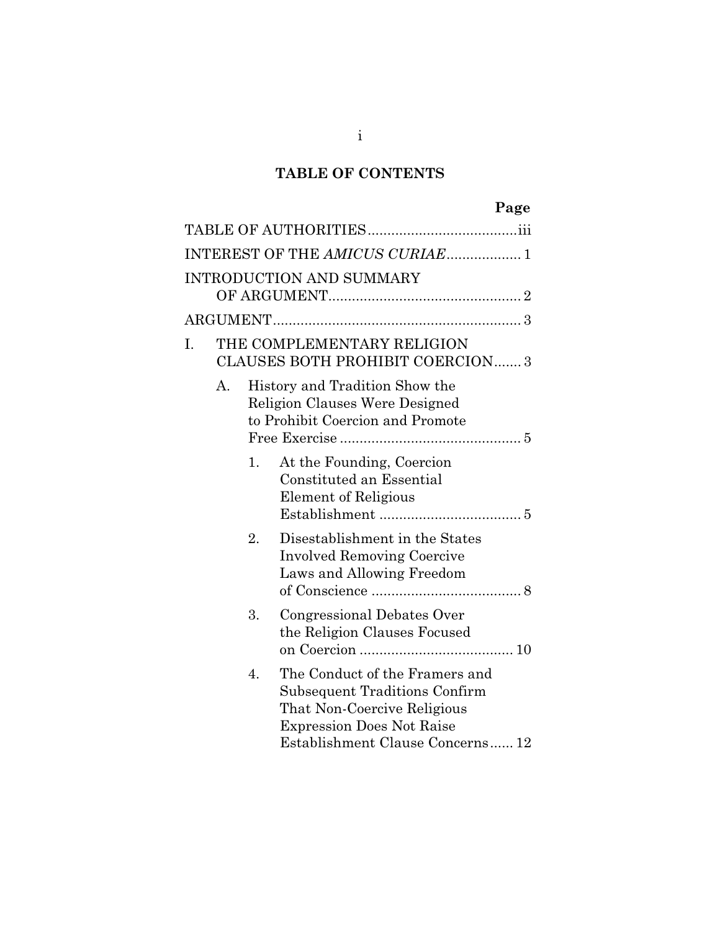# **TABLE OF CONTENTS**

|    |    |    | Page                                                                                                                                                                          |  |
|----|----|----|-------------------------------------------------------------------------------------------------------------------------------------------------------------------------------|--|
|    |    |    |                                                                                                                                                                               |  |
|    |    |    | INTEREST OF THE AMICUS CURIAE 1                                                                                                                                               |  |
|    |    |    | INTRODUCTION AND SUMMARY                                                                                                                                                      |  |
|    |    |    |                                                                                                                                                                               |  |
| I. |    |    | THE COMPLEMENTARY RELIGION<br><b>CLAUSES BOTH PROHIBIT COERCION 3</b>                                                                                                         |  |
|    | А. |    | History and Tradition Show the<br><b>Religion Clauses Were Designed</b><br>to Prohibit Coercion and Promote                                                                   |  |
|    |    | 1. | At the Founding, Coercion<br>Constituted an Essential<br><b>Element of Religious</b>                                                                                          |  |
|    |    | 2. | Disestablishment in the States<br><b>Involved Removing Coercive</b><br>Laws and Allowing Freedom                                                                              |  |
|    |    | 3. | Congressional Debates Over<br>the Religion Clauses Focused                                                                                                                    |  |
|    |    | 4. | The Conduct of the Framers and<br><b>Subsequent Traditions Confirm</b><br>That Non-Coercive Religious<br><b>Expression Does Not Raise</b><br>Establishment Clause Concerns 12 |  |

i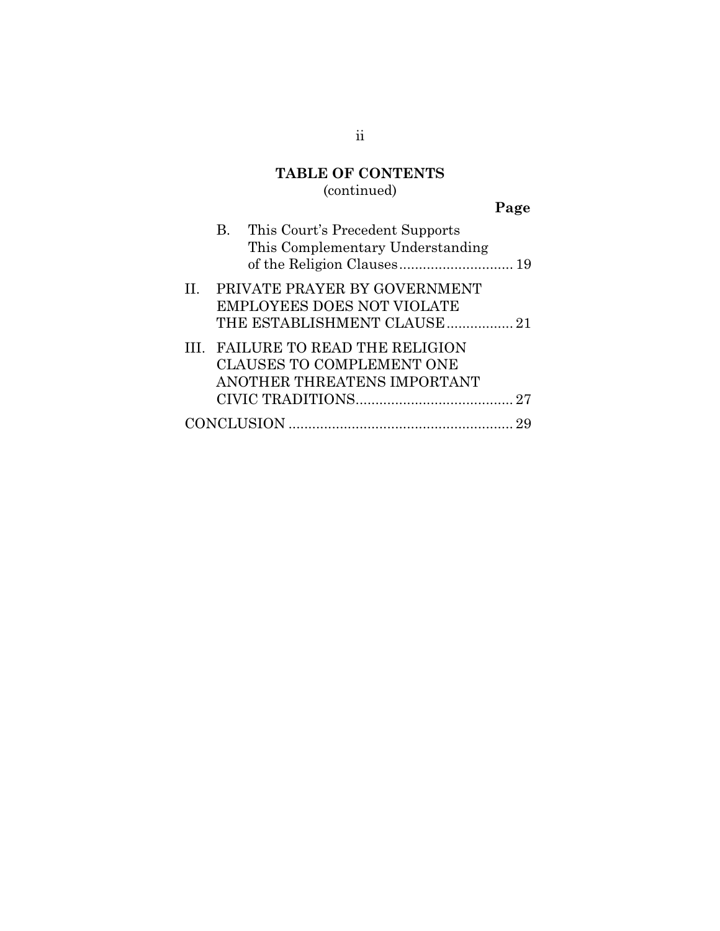# **TABLE OF CONTENTS**

# (continued)

| ×<br>×.<br>۰, |
|---------------|
|---------------|

|  | B. This Court's Precedent Supports |  |
|--|------------------------------------|--|
|  | This Complementary Understanding   |  |
|  |                                    |  |
|  | II. PRIVATE PRAYER BY GOVERNMENT   |  |
|  | <b>EMPLOYEES DOES NOT VIOLATE</b>  |  |
|  | THE ESTABLISHMENT CLAUSE 21        |  |
|  | III. FAILURE TO READ THE RELIGION  |  |
|  | <b>CLAUSES TO COMPLEMENT ONE</b>   |  |
|  | ANOTHER THREATENS IMPORTANT        |  |
|  |                                    |  |
|  |                                    |  |
|  |                                    |  |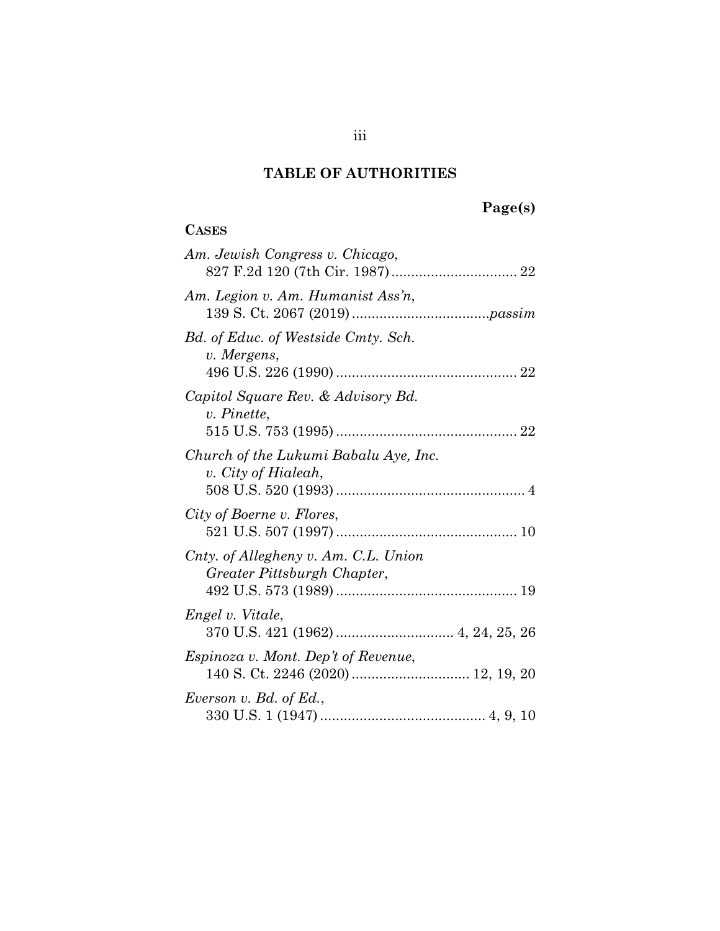**CASES**

#### **Page(s)**

### *Am. Jewish Congress v. Chicago*, 827 F.2d 120 (7th Cir. 1987) ................................ 22 *Am. Legion v. Am. Humanist Ass'n*, 139 S. Ct. 2067 (2019) ...................................*passim Bd. of Educ. of Westside Cmty. Sch. v. Mergens*, 496 U.S. 226 (1990) .............................................. 22 *Capitol Square Rev. & Advisory Bd. v. Pinette*, 515 U.S. 753 (1995) .............................................. 22 *Church of the Lukumi Babalu Aye, Inc. v. City of Hialeah*, 508 U.S. 520 (1993) ................................................ 4 *City of Boerne v. Flores*, 521 U.S. 507 (1997) .............................................. 10 *Cnty. of Allegheny v. Am. C.L. Union Greater Pittsburgh Chapter*, 492 U.S. 573 (1989) .............................................. 19 *Engel v. Vitale*, 370 U.S. 421 (1962) .............................. 4, 24, 25, 26 *Espinoza v. Mont. Dep't of Revenue*, 140 S. Ct. 2246 (2020) .............................. 12, 19, 20 *Everson v. Bd. of Ed.*, 330 U.S. 1 (1947) .......................................... 4, 9, 10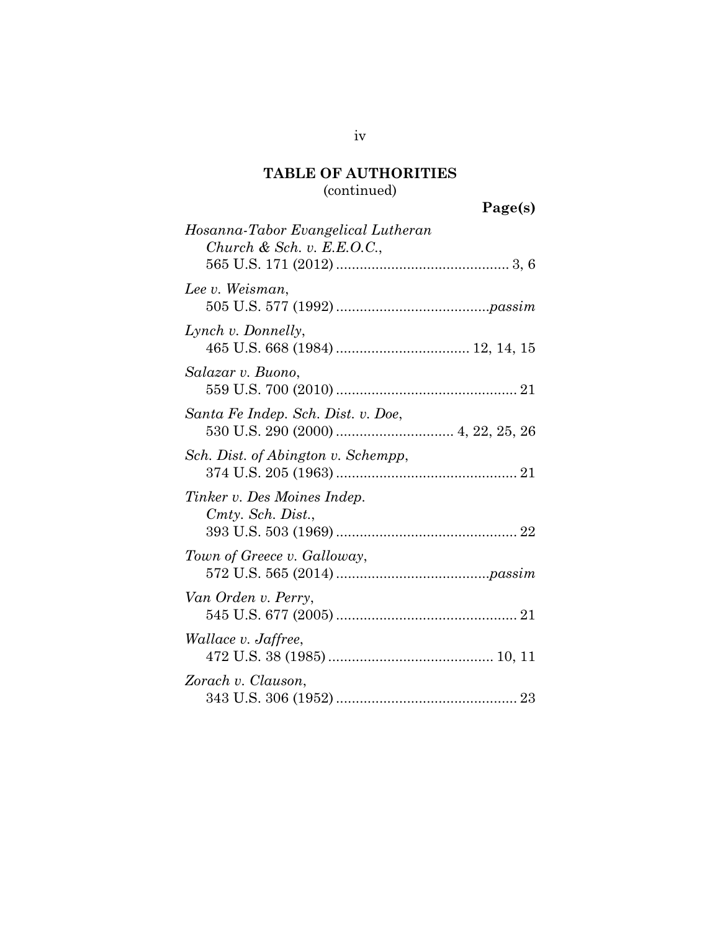### (continued)

iv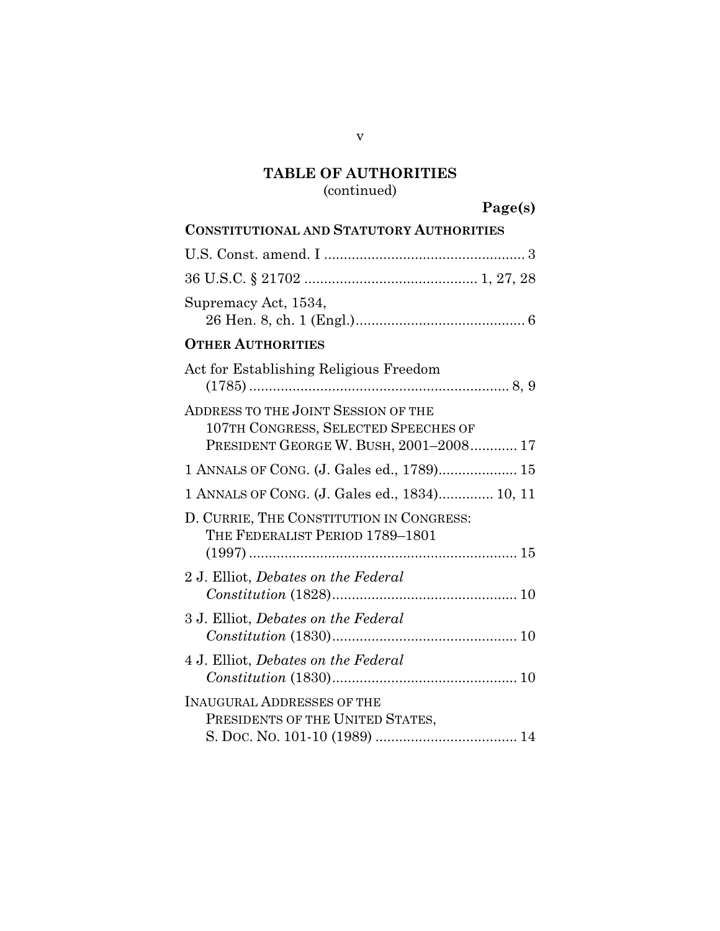### (continued)

**Page(s)**

| <b>CONSTITUTIONAL AND STATUTORY AUTHORITIES</b>                                                                       |
|-----------------------------------------------------------------------------------------------------------------------|
|                                                                                                                       |
|                                                                                                                       |
| Supremacy Act, 1534,                                                                                                  |
| <b>OTHER AUTHORITIES</b>                                                                                              |
| Act for Establishing Religious Freedom                                                                                |
| ADDRESS TO THE JOINT SESSION OF THE<br>107TH CONGRESS, SELECTED SPEECHES OF<br>PRESIDENT GEORGE W. BUSH, 2001-2008 17 |
| 1 ANNALS OF CONG. (J. Gales ed., 1789) 15                                                                             |
| 1 ANNALS OF CONG. (J. Gales ed., 1834) 10, 11                                                                         |
| D. CURRIE, THE CONSTITUTION IN CONGRESS:<br>THE FEDERALIST PERIOD 1789-1801                                           |
| 2 J. Elliot, Debates on the Federal                                                                                   |
| 3 J. Elliot, Debates on the Federal                                                                                   |
| 4 J. Elliot, <i>Debates</i> on the Federal                                                                            |
| <b>INAUGURAL ADDRESSES OF THE</b><br>PRESIDENTS OF THE UNITED STATES,                                                 |

v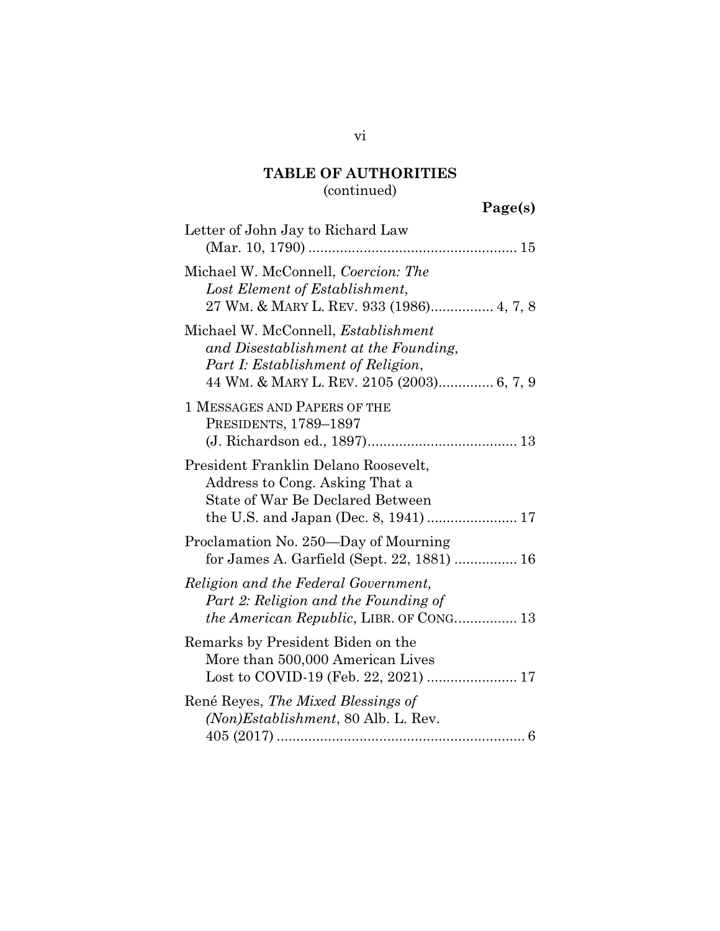### (continued)

| Page(s) |
|---------|
|---------|

| Letter of John Jay to Richard Law                                                                                                                                      |
|------------------------------------------------------------------------------------------------------------------------------------------------------------------------|
| Michael W. McConnell, Coercion: The<br>Lost Element of Establishment,<br>27 WM. & MARY L. REV. 933 (1986) 4, 7, 8                                                      |
| Michael W. McConnell, <i>Establishment</i><br>and Disestablishment at the Founding,<br>Part I: Establishment of Religion,<br>44 WM. & MARY L. REV. 2105 (2003) 6, 7, 9 |
| 1 MESSAGES AND PAPERS OF THE<br>PRESIDENTS, 1789-1897                                                                                                                  |
| President Franklin Delano Roosevelt,<br>Address to Cong. Asking That a<br>State of War Be Declared Between                                                             |
| Proclamation No. 250-Day of Mourning<br>for James A. Garfield (Sept. 22, 1881)  16                                                                                     |
| Religion and the Federal Government,<br>Part 2: Religion and the Founding of<br><i>the American Republic, LIBR. OF CONG</i> 13                                         |
| Remarks by President Biden on the<br>More than 500,000 American Lives                                                                                                  |
| René Reyes, The Mixed Blessings of<br>(Non) Establishment, 80 Alb. L. Rev.                                                                                             |

vi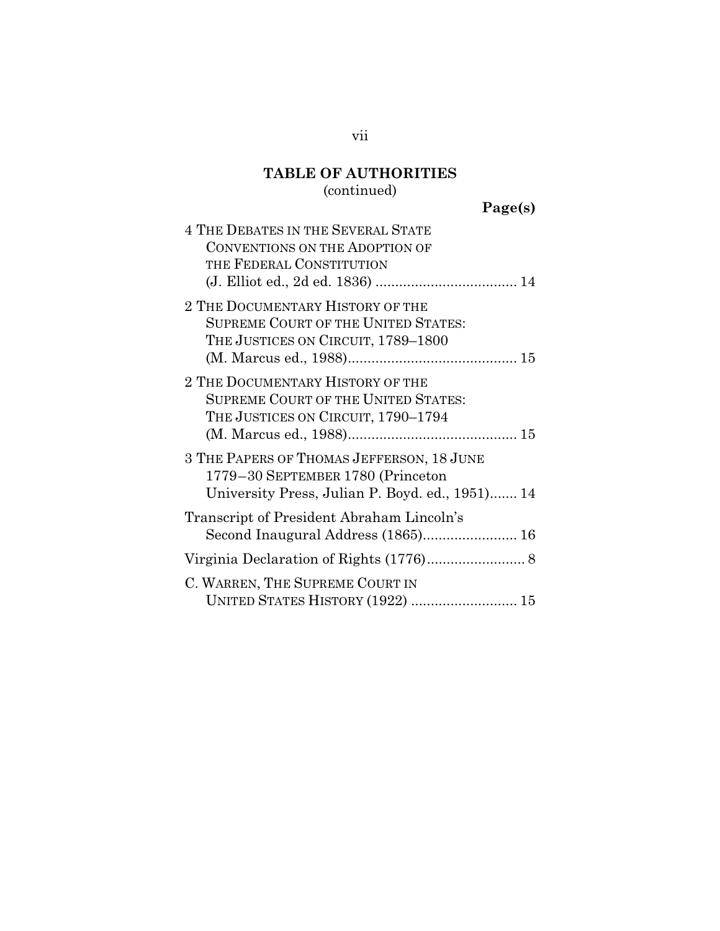# (continued)

| 4 THE DEBATES IN THE SEVERAL STATE<br>CONVENTIONS ON THE ADOPTION OF<br>THE FEDERAL CONSTITUTION                                  |
|-----------------------------------------------------------------------------------------------------------------------------------|
| 2 THE DOCUMENTARY HISTORY OF THE<br><b>SUPREME COURT OF THE UNITED STATES:</b><br>THE JUSTICES ON CIRCUIT, 1789–1800              |
| 2 THE DOCUMENTARY HISTORY OF THE<br><b>SUPREME COURT OF THE UNITED STATES:</b><br>THE JUSTICES ON CIRCUIT, 1790–1794              |
| 3 THE PAPERS OF THOMAS JEFFERSON, 18 JUNE<br>1779-30 SEPTEMBER 1780 (Princeton<br>University Press, Julian P. Boyd. ed., 1951) 14 |
| Transcript of President Abraham Lincoln's<br>Second Inaugural Address (1865) 16                                                   |
|                                                                                                                                   |
| C. WARREN, THE SUPREME COURT IN<br>UNITED STATES HISTORY (1922)  15                                                               |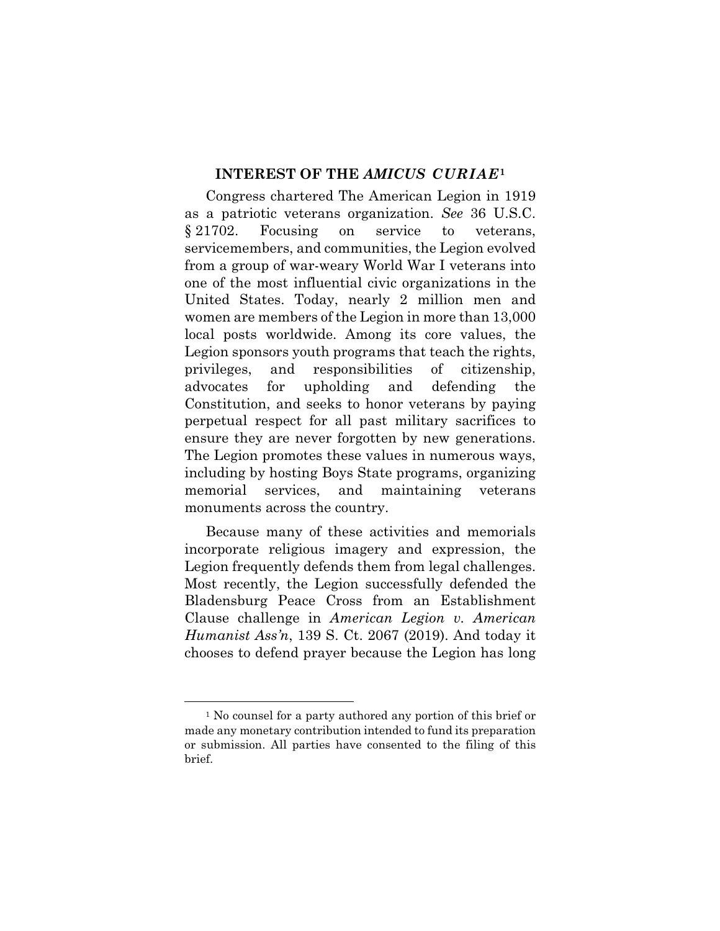#### **INTEREST OF THE** *AMICUS CURIAE***<sup>1</sup>**

Congress chartered The American Legion in 1919 as a patriotic veterans organization. *See* 36 U.S.C. § 21702. Focusing on service to veterans, servicemembers, and communities, the Legion evolved from a group of war-weary World War I veterans into one of the most influential civic organizations in the United States. Today, nearly 2 million men and women are members of the Legion in more than 13,000 local posts worldwide. Among its core values, the Legion sponsors youth programs that teach the rights, privileges, and responsibilities of citizenship, advocates for upholding and defending the Constitution, and seeks to honor veterans by paying perpetual respect for all past military sacrifices to ensure they are never forgotten by new generations. The Legion promotes these values in numerous ways, including by hosting Boys State programs, organizing memorial services, and maintaining veterans monuments across the country.

Because many of these activities and memorials incorporate religious imagery and expression, the Legion frequently defends them from legal challenges. Most recently, the Legion successfully defended the Bladensburg Peace Cross from an Establishment Clause challenge in *American Legion v. American Humanist Ass'n*, 139 S. Ct. 2067 (2019). And today it chooses to defend prayer because the Legion has long

1

<sup>&</sup>lt;sup>1</sup> No counsel for a party authored any portion of this brief or made any monetary contribution intended to fund its preparation or submission. All parties have consented to the filing of this brief.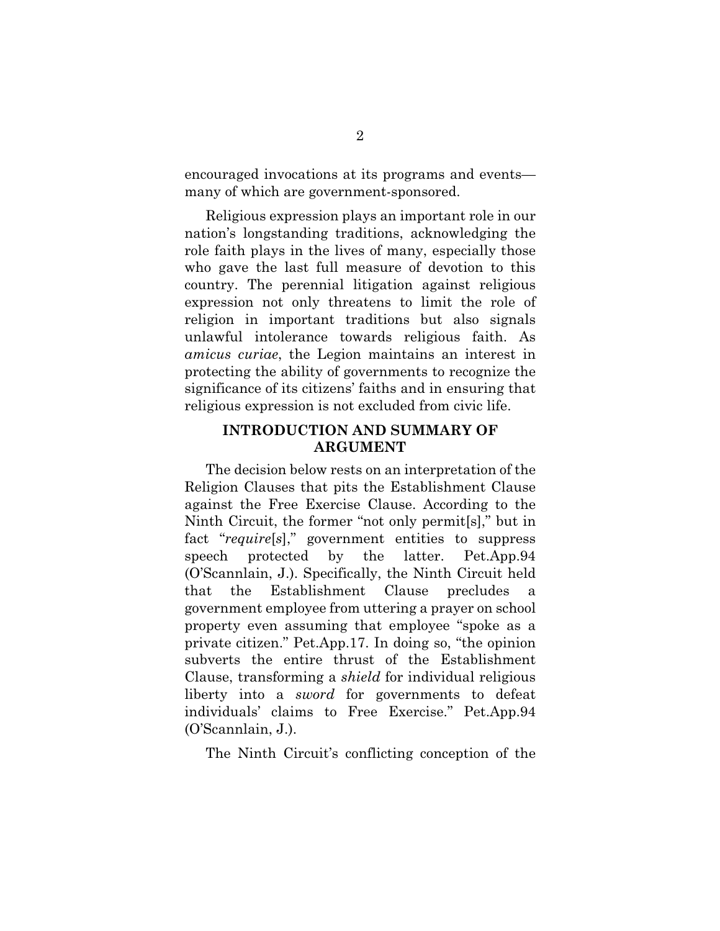encouraged invocations at its programs and events many of which are government-sponsored.

Religious expression plays an important role in our nation's longstanding traditions, acknowledging the role faith plays in the lives of many, especially those who gave the last full measure of devotion to this country. The perennial litigation against religious expression not only threatens to limit the role of religion in important traditions but also signals unlawful intolerance towards religious faith. As *amicus curiae*, the Legion maintains an interest in protecting the ability of governments to recognize the significance of its citizens' faiths and in ensuring that religious expression is not excluded from civic life.

#### **INTRODUCTION AND SUMMARY OF ARGUMENT**

The decision below rests on an interpretation of the Religion Clauses that pits the Establishment Clause against the Free Exercise Clause. According to the Ninth Circuit, the former "not only permit[s]," but in fact "*require*[*s*]," government entities to suppress speech protected by the latter. Pet.App.94 (O'Scannlain, J.). Specifically, the Ninth Circuit held that the Establishment Clause precludes a government employee from uttering a prayer on school property even assuming that employee "spoke as a private citizen." Pet.App.17. In doing so, "the opinion subverts the entire thrust of the Establishment Clause, transforming a *shield* for individual religious liberty into a *sword* for governments to defeat individuals' claims to Free Exercise." Pet.App.94 (O'Scannlain, J.).

The Ninth Circuit's conflicting conception of the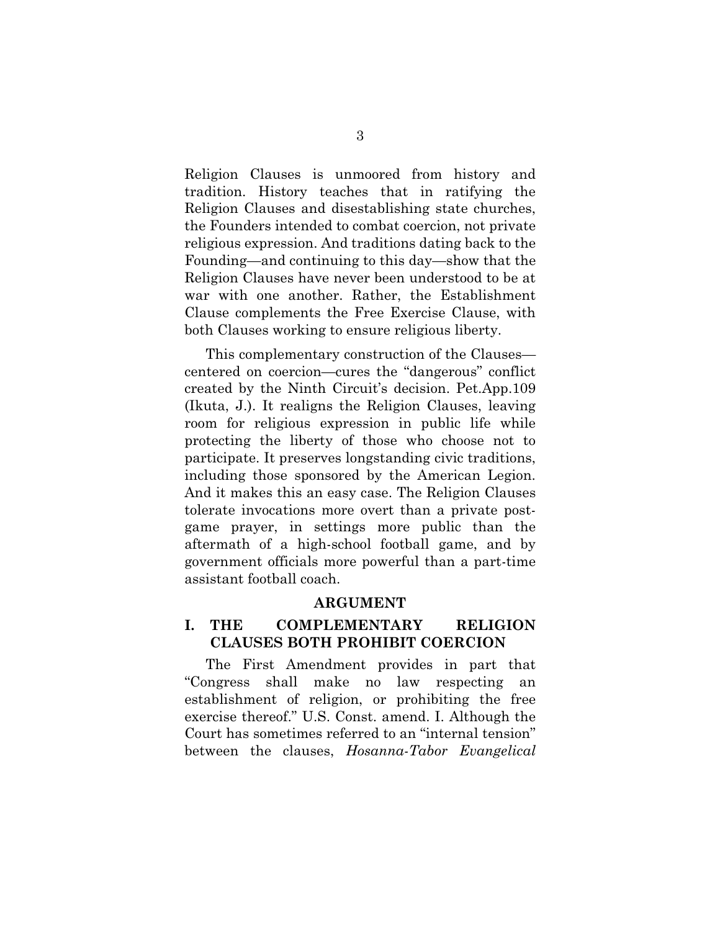Religion Clauses is unmoored from history and tradition. History teaches that in ratifying the Religion Clauses and disestablishing state churches, the Founders intended to combat coercion, not private religious expression. And traditions dating back to the Founding—and continuing to this day—show that the Religion Clauses have never been understood to be at war with one another. Rather, the Establishment Clause complements the Free Exercise Clause, with both Clauses working to ensure religious liberty.

This complementary construction of the Clauses centered on coercion—cures the "dangerous" conflict created by the Ninth Circuit's decision. Pet.App.109 (Ikuta, J.). It realigns the Religion Clauses, leaving room for religious expression in public life while protecting the liberty of those who choose not to participate. It preserves longstanding civic traditions, including those sponsored by the American Legion. And it makes this an easy case. The Religion Clauses tolerate invocations more overt than a private postgame prayer, in settings more public than the aftermath of a high-school football game, and by government officials more powerful than a part-time assistant football coach.

#### **ARGUMENT**

#### **I. THE COMPLEMENTARY RELIGION CLAUSES BOTH PROHIBIT COERCION**

The First Amendment provides in part that "Congress shall make no law respecting an establishment of religion, or prohibiting the free exercise thereof." U.S. Const. amend. I. Although the Court has sometimes referred to an "internal tension" between the clauses, *Hosanna-Tabor Evangelical*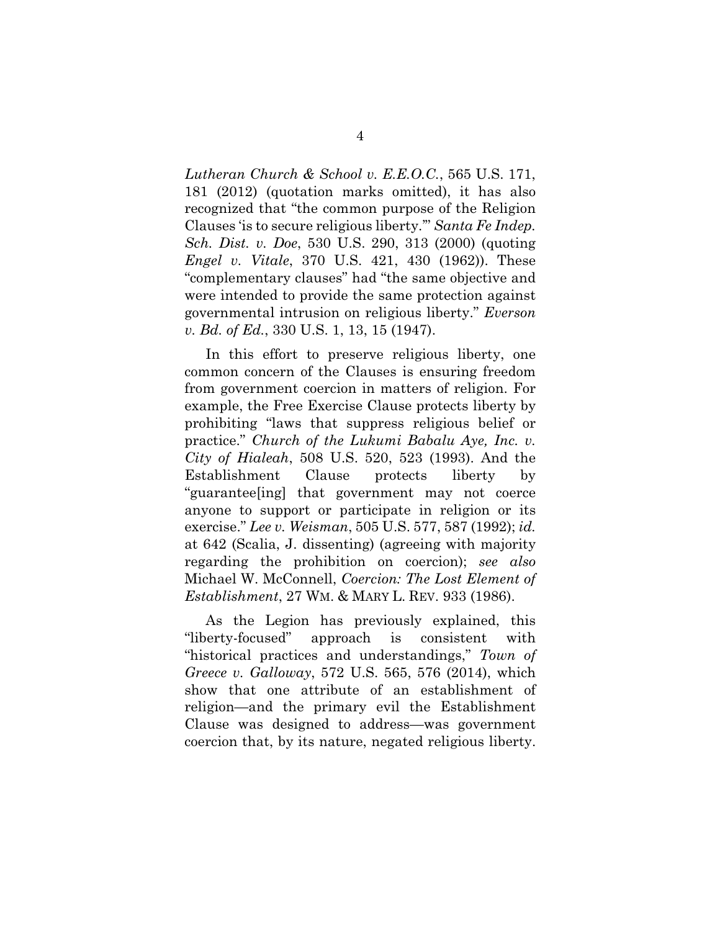*Lutheran Church & School v. E.E.O.C.*, 565 U.S. 171, 181 (2012) (quotation marks omitted), it has also recognized that "the common purpose of the Religion Clauses 'is to secure religious liberty.'" *Santa Fe Indep. Sch. Dist. v. Doe*, 530 U.S. 290, 313 (2000) (quoting *Engel v. Vitale*, 370 U.S. 421, 430 (1962)). These "complementary clauses" had "the same objective and were intended to provide the same protection against governmental intrusion on religious liberty." *Everson v. Bd. of Ed.*, 330 U.S. 1, 13, 15 (1947).

In this effort to preserve religious liberty, one common concern of the Clauses is ensuring freedom from government coercion in matters of religion. For example, the Free Exercise Clause protects liberty by prohibiting "laws that suppress religious belief or practice." *Church of the Lukumi Babalu Aye, Inc. v. City of Hialeah*, 508 U.S. 520, 523 (1993). And the Establishment Clause protects liberty by "guarantee[ing] that government may not coerce anyone to support or participate in religion or its exercise." *Lee v. Weisman*, 505 U.S. 577, 587 (1992); *id.* at 642 (Scalia, J. dissenting) (agreeing with majority regarding the prohibition on coercion); *see also* Michael W. McConnell, *Coercion: The Lost Element of Establishment*, 27 WM. & MARY L. REV. 933 (1986).

As the Legion has previously explained, this "liberty-focused" approach is consistent with "historical practices and understandings," *Town of Greece v. Galloway*, 572 U.S. 565, 576 (2014), which show that one attribute of an establishment of religion—and the primary evil the Establishment Clause was designed to address—was government coercion that, by its nature, negated religious liberty.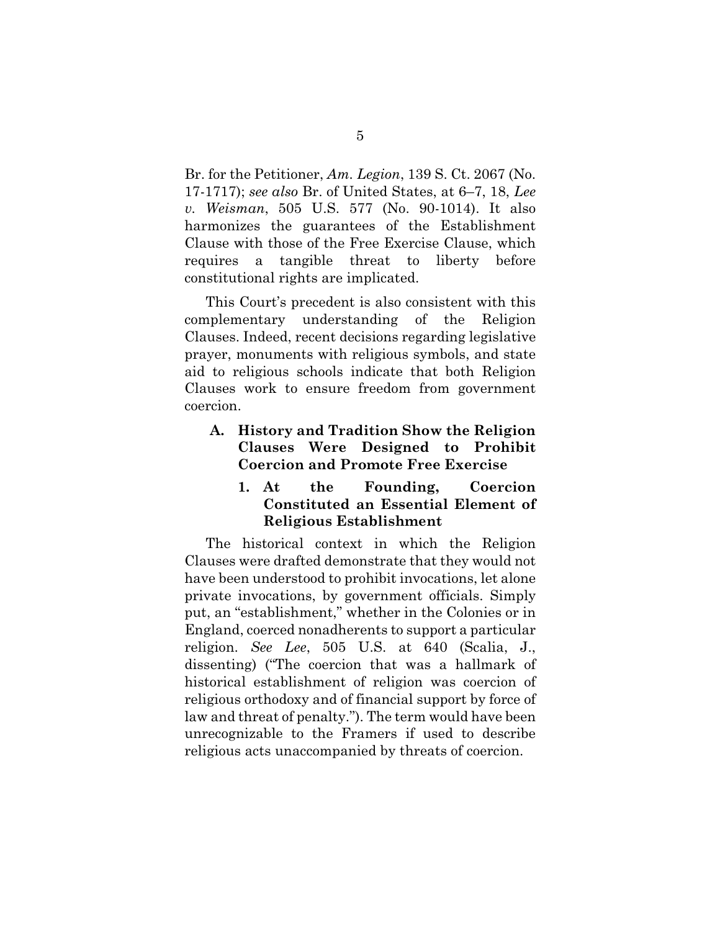Br. for the Petitioner, *Am. Legion*, 139 S. Ct. 2067 (No. 17-1717); *see also* Br. of United States, at 6–7, 18, *Lee v. Weisman*, 505 U.S. 577 (No. 90-1014). It also harmonizes the guarantees of the Establishment Clause with those of the Free Exercise Clause, which requires a tangible threat to liberty before constitutional rights are implicated.

This Court's precedent is also consistent with this complementary understanding of the Religion Clauses. Indeed, recent decisions regarding legislative prayer, monuments with religious symbols, and state aid to religious schools indicate that both Religion Clauses work to ensure freedom from government coercion.

### **A. History and Tradition Show the Religion Clauses Were Designed to Prohibit Coercion and Promote Free Exercise**

#### **1. At the Founding, Coercion Constituted an Essential Element of Religious Establishment**

The historical context in which the Religion Clauses were drafted demonstrate that they would not have been understood to prohibit invocations, let alone private invocations, by government officials. Simply put, an "establishment," whether in the Colonies or in England, coerced nonadherents to support a particular religion. *See Lee*, 505 U.S. at 640 (Scalia, J., dissenting) ("The coercion that was a hallmark of historical establishment of religion was coercion of religious orthodoxy and of financial support by force of law and threat of penalty."). The term would have been unrecognizable to the Framers if used to describe religious acts unaccompanied by threats of coercion.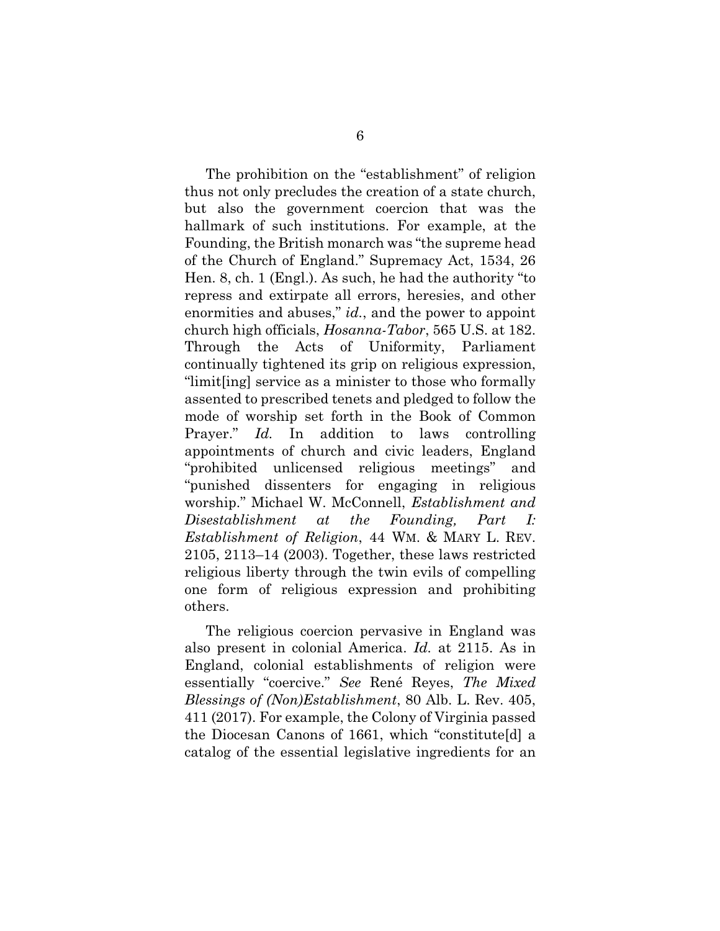The prohibition on the "establishment" of religion thus not only precludes the creation of a state church, but also the government coercion that was the hallmark of such institutions. For example, at the Founding, the British monarch was "the supreme head of the Church of England." Supremacy Act, 1534, 26 Hen. 8, ch. 1 (Engl.). As such, he had the authority "to repress and extirpate all errors, heresies, and other enormities and abuses," *id.*, and the power to appoint church high officials, *Hosanna-Tabor*, 565 U.S. at 182. Through the Acts of Uniformity, Parliament continually tightened its grip on religious expression, "limit[ing] service as a minister to those who formally assented to prescribed tenets and pledged to follow the mode of worship set forth in the Book of Common Prayer." *Id.* In addition to laws controlling appointments of church and civic leaders, England "prohibited unlicensed religious meetings" and "punished dissenters for engaging in religious worship." Michael W. McConnell, *Establishment and Disestablishment at the Founding, Part I: Establishment of Religion*, 44 WM. & MARY L. REV. 2105, 2113–14 (2003). Together, these laws restricted religious liberty through the twin evils of compelling one form of religious expression and prohibiting others.

The religious coercion pervasive in England was also present in colonial America. *Id.* at 2115. As in England, colonial establishments of religion were essentially "coercive." *See* René Reyes, *The Mixed Blessings of (Non)Establishment*, 80 Alb. L. Rev. 405, 411 (2017). For example, the Colony of Virginia passed the Diocesan Canons of 1661, which "constitute[d] a catalog of the essential legislative ingredients for an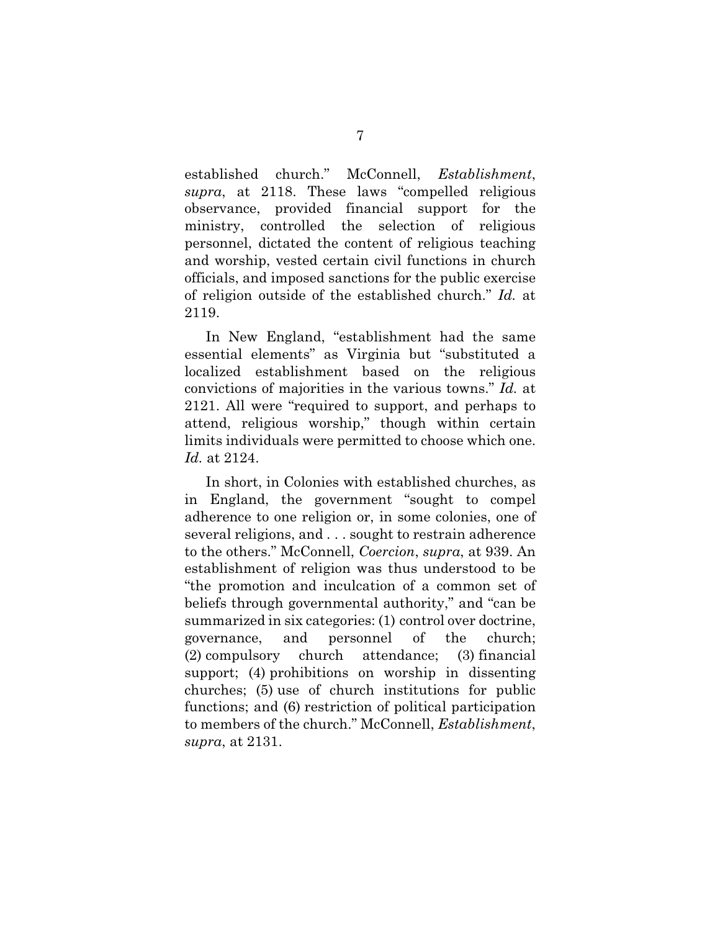established church." McConnell, *Establishment*, *supra*, at 2118. These laws "compelled religious observance, provided financial support for the ministry, controlled the selection of religious personnel, dictated the content of religious teaching and worship, vested certain civil functions in church officials, and imposed sanctions for the public exercise of religion outside of the established church." *Id.* at 2119.

In New England, "establishment had the same essential elements" as Virginia but "substituted a localized establishment based on the religious convictions of majorities in the various towns." *Id.* at 2121. All were "required to support, and perhaps to attend, religious worship," though within certain limits individuals were permitted to choose which one. *Id.* at 2124.

In short, in Colonies with established churches, as in England, the government "sought to compel adherence to one religion or, in some colonies, one of several religions, and . . . sought to restrain adherence to the others." McConnell, *Coercion*, *supra*, at 939. An establishment of religion was thus understood to be "the promotion and inculcation of a common set of beliefs through governmental authority," and "can be summarized in six categories: (1) control over doctrine, governance, and personnel of the church; (2) compulsory church attendance; (3) financial support; (4) prohibitions on worship in dissenting churches; (5) use of church institutions for public functions; and (6) restriction of political participation to members of the church." McConnell, *Establishment*, *supra*, at 2131.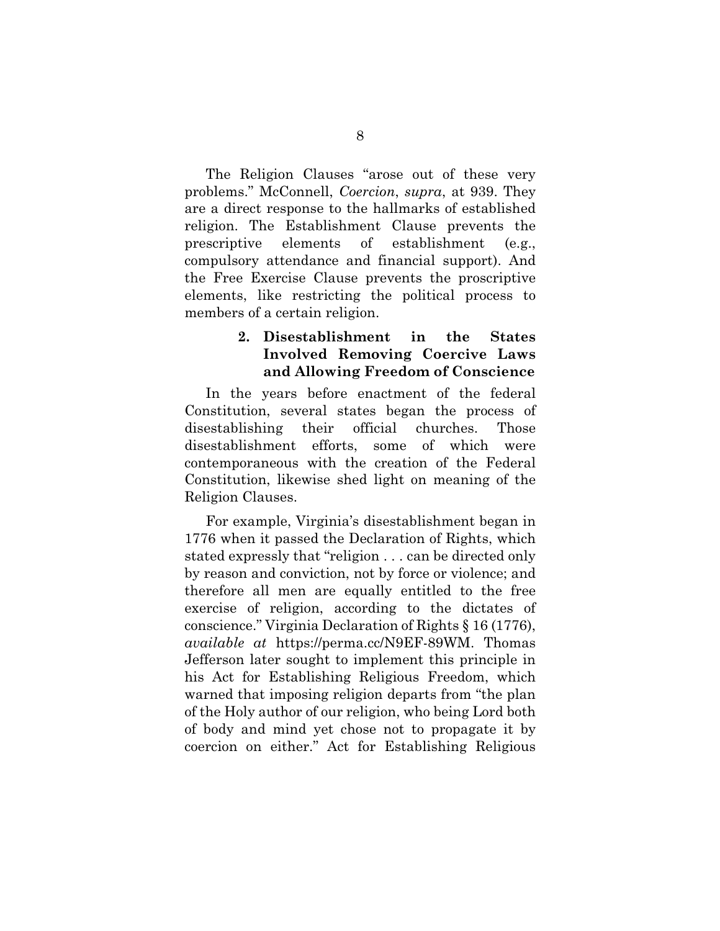The Religion Clauses "arose out of these very problems." McConnell, *Coercion*, *supra*, at 939. They are a direct response to the hallmarks of established religion. The Establishment Clause prevents the prescriptive elements of establishment (e.g., compulsory attendance and financial support). And the Free Exercise Clause prevents the proscriptive elements, like restricting the political process to members of a certain religion.

#### **2. Disestablishment in the States Involved Removing Coercive Laws and Allowing Freedom of Conscience**

In the years before enactment of the federal Constitution, several states began the process of disestablishing their official churches. Those disestablishment efforts, some of which were contemporaneous with the creation of the Federal Constitution, likewise shed light on meaning of the Religion Clauses.

For example, Virginia's disestablishment began in 1776 when it passed the Declaration of Rights, which stated expressly that "religion . . . can be directed only by reason and conviction, not by force or violence; and therefore all men are equally entitled to the free exercise of religion, according to the dictates of conscience." Virginia Declaration of Rights § 16 (1776), *available at* https://perma.cc/N9EF-89WM. Thomas Jefferson later sought to implement this principle in his Act for Establishing Religious Freedom, which warned that imposing religion departs from "the plan of the Holy author of our religion, who being Lord both of body and mind yet chose not to propagate it by coercion on either." Act for Establishing Religious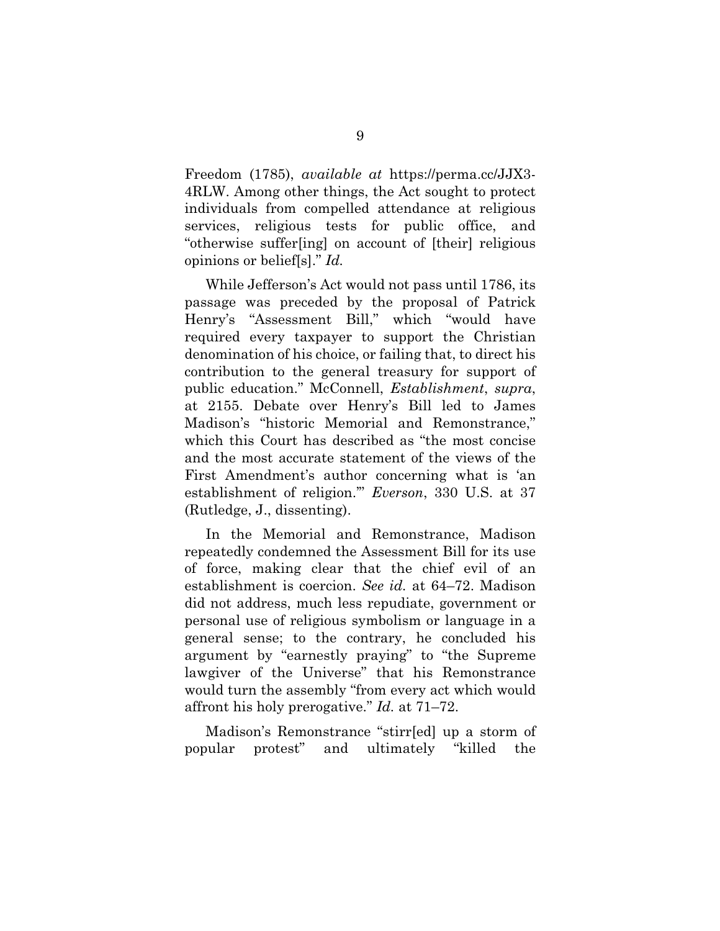Freedom (1785), *available at* https://perma.cc/JJX3- 4RLW. Among other things, the Act sought to protect individuals from compelled attendance at religious services, religious tests for public office, and "otherwise suffer[ing] on account of [their] religious opinions or belief[s]." *Id.* 

While Jefferson's Act would not pass until 1786, its passage was preceded by the proposal of Patrick Henry's "Assessment Bill," which "would have required every taxpayer to support the Christian denomination of his choice, or failing that, to direct his contribution to the general treasury for support of public education." McConnell, *Establishment*, *supra*, at 2155. Debate over Henry's Bill led to James Madison's "historic Memorial and Remonstrance," which this Court has described as "the most concise and the most accurate statement of the views of the First Amendment's author concerning what is 'an establishment of religion.'" *Everson*, 330 U.S. at 37 (Rutledge, J., dissenting).

In the Memorial and Remonstrance, Madison repeatedly condemned the Assessment Bill for its use of force, making clear that the chief evil of an establishment is coercion. *See id.* at 64–72. Madison did not address, much less repudiate, government or personal use of religious symbolism or language in a general sense; to the contrary, he concluded his argument by "earnestly praying" to "the Supreme lawgiver of the Universe" that his Remonstrance would turn the assembly "from every act which would affront his holy prerogative." *Id.* at 71–72.

Madison's Remonstrance "stirr[ed] up a storm of popular protest" and ultimately "killed the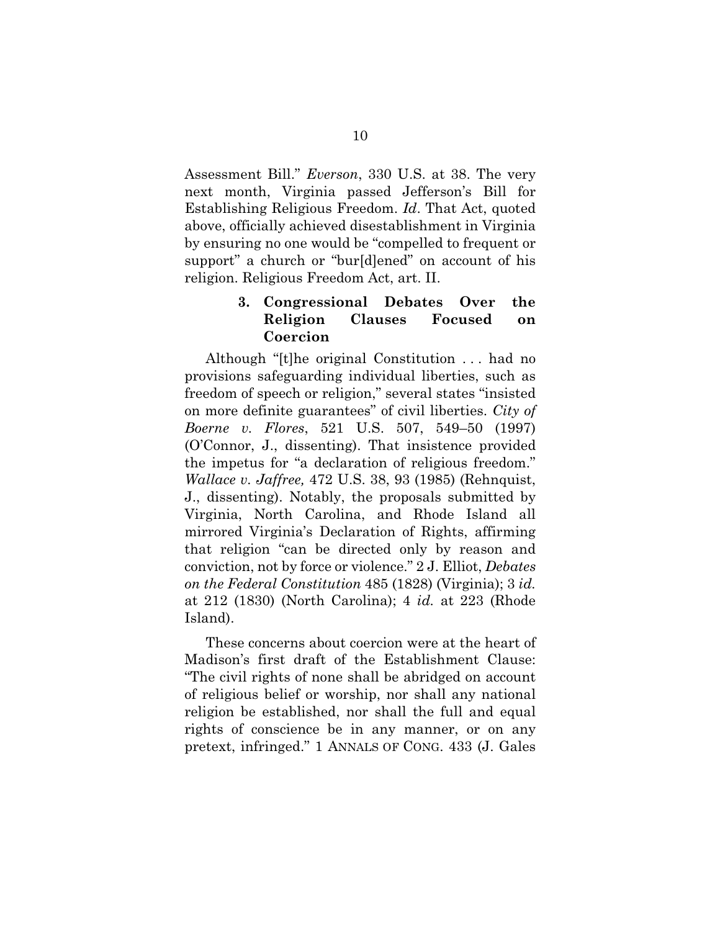Assessment Bill." *Everson*, 330 U.S. at 38. The very next month, Virginia passed Jefferson's Bill for Establishing Religious Freedom. *Id*. That Act, quoted above, officially achieved disestablishment in Virginia by ensuring no one would be "compelled to frequent or support" a church or "bur[d]ened" on account of his religion. Religious Freedom Act, art. II.

### **3. Congressional Debates Over the Religion Clauses Focused on Coercion**

Although "[t]he original Constitution . . . had no provisions safeguarding individual liberties, such as freedom of speech or religion," several states "insisted on more definite guarantees" of civil liberties. *City of Boerne v. Flores*, 521 U.S. 507, 549–50 (1997) (O'Connor, J., dissenting). That insistence provided the impetus for "a declaration of religious freedom." *Wallace v. Jaffree,* 472 U.S. 38, 93 (1985) (Rehnquist, J., dissenting). Notably, the proposals submitted by Virginia, North Carolina, and Rhode Island all mirrored Virginia's Declaration of Rights, affirming that religion "can be directed only by reason and conviction, not by force or violence." 2 J. Elliot, *Debates on the Federal Constitution* 485 (1828) (Virginia); 3 *id.* at 212 (1830) (North Carolina); 4 *id.* at 223 (Rhode Island).

These concerns about coercion were at the heart of Madison's first draft of the Establishment Clause: "The civil rights of none shall be abridged on account of religious belief or worship, nor shall any national religion be established, nor shall the full and equal rights of conscience be in any manner, or on any pretext, infringed." 1 ANNALS OF CONG. 433 (J. Gales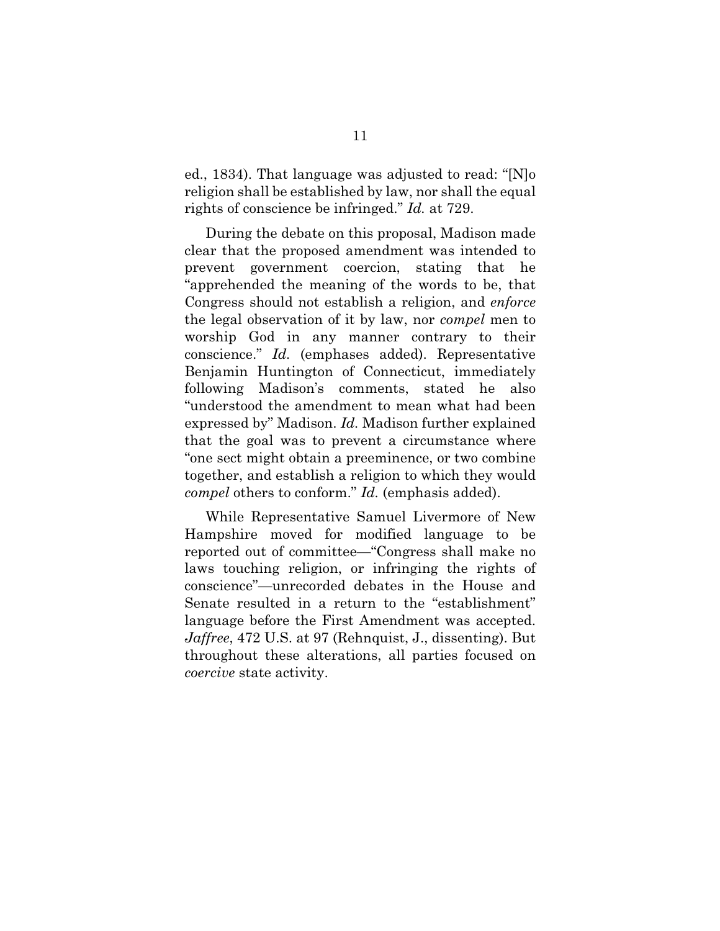ed., 1834). That language was adjusted to read: "[N]o religion shall be established by law, nor shall the equal rights of conscience be infringed." *Id.* at 729.

During the debate on this proposal, Madison made clear that the proposed amendment was intended to prevent government coercion, stating that he "apprehended the meaning of the words to be, that Congress should not establish a religion, and *enforce* the legal observation of it by law, nor *compel* men to worship God in any manner contrary to their conscience." *Id.* (emphases added). Representative Benjamin Huntington of Connecticut, immediately following Madison's comments, stated he also "understood the amendment to mean what had been expressed by" Madison. *Id.* Madison further explained that the goal was to prevent a circumstance where "one sect might obtain a preeminence, or two combine together, and establish a religion to which they would *compel* others to conform." *Id.* (emphasis added).

While Representative Samuel Livermore of New Hampshire moved for modified language to be reported out of committee—"Congress shall make no laws touching religion, or infringing the rights of conscience"—unrecorded debates in the House and Senate resulted in a return to the "establishment" language before the First Amendment was accepted. *Jaffree*, 472 U.S. at 97 (Rehnquist, J., dissenting). But throughout these alterations, all parties focused on *coercive* state activity.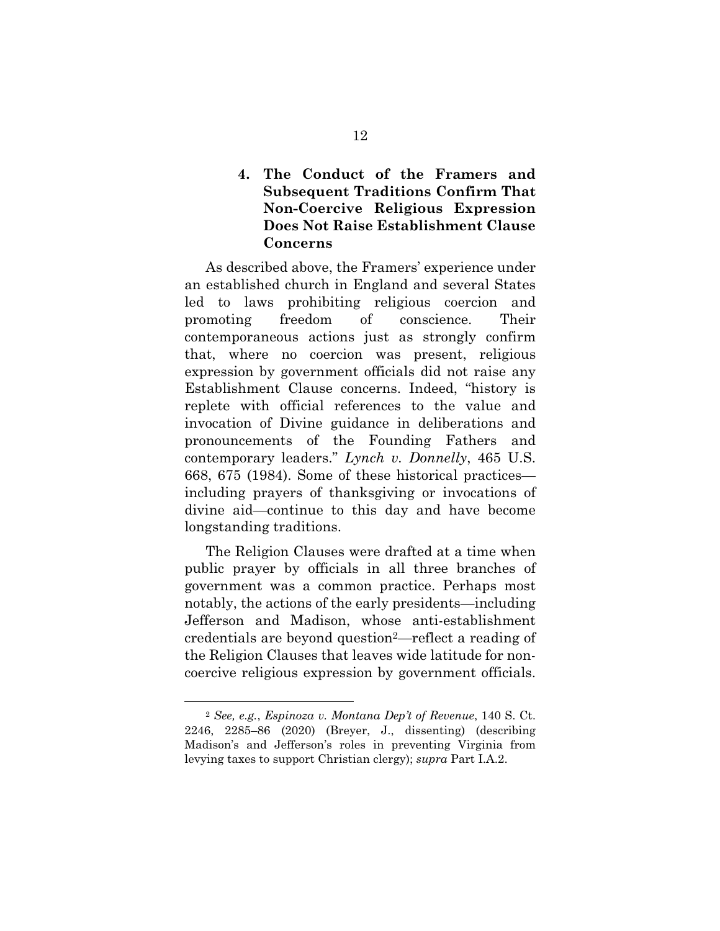### **4. The Conduct of the Framers and Subsequent Traditions Confirm That Non-Coercive Religious Expression Does Not Raise Establishment Clause Concerns**

As described above, the Framers' experience under an established church in England and several States led to laws prohibiting religious coercion and promoting freedom of conscience. Their contemporaneous actions just as strongly confirm that, where no coercion was present, religious expression by government officials did not raise any Establishment Clause concerns. Indeed, "history is replete with official references to the value and invocation of Divine guidance in deliberations and pronouncements of the Founding Fathers and contemporary leaders." *Lynch v. Donnelly*, 465 U.S. 668, 675 (1984). Some of these historical practices including prayers of thanksgiving or invocations of divine aid—continue to this day and have become longstanding traditions.

The Religion Clauses were drafted at a time when public prayer by officials in all three branches of government was a common practice. Perhaps most notably, the actions of the early presidents—including Jefferson and Madison, whose anti-establishment credentials are beyond question2—reflect a reading of the Religion Clauses that leaves wide latitude for noncoercive religious expression by government officials.

1

<sup>2</sup> *See, e.g.*, *Espinoza v. Montana Dep't of Revenue*, 140 S. Ct. 2246, 2285–86 (2020) (Breyer, J., dissenting) (describing Madison's and Jefferson's roles in preventing Virginia from levying taxes to support Christian clergy); *supra* Part I.A.2.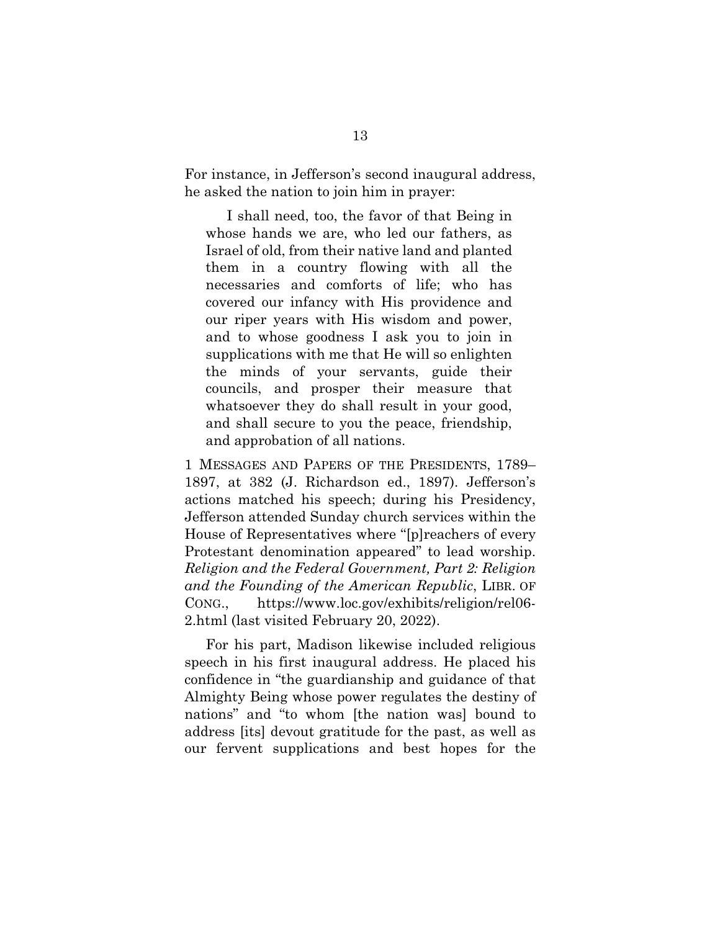For instance, in Jefferson's second inaugural address, he asked the nation to join him in prayer:

I shall need, too, the favor of that Being in whose hands we are, who led our fathers, as Israel of old, from their native land and planted them in a country flowing with all the necessaries and comforts of life; who has covered our infancy with His providence and our riper years with His wisdom and power, and to whose goodness I ask you to join in supplications with me that He will so enlighten the minds of your servants, guide their councils, and prosper their measure that whatsoever they do shall result in your good, and shall secure to you the peace, friendship, and approbation of all nations.

1 MESSAGES AND PAPERS OF THE PRESIDENTS, 1789– 1897, at 382 (J. Richardson ed., 1897). Jefferson's actions matched his speech; during his Presidency, Jefferson attended Sunday church services within the House of Representatives where "[p]reachers of every Protestant denomination appeared" to lead worship. *Religion and the Federal Government, Part 2: Religion and the Founding of the American Republic*, LIBR. OF CONG., https://www.loc.gov/exhibits/religion/rel06- 2.html (last visited February 20, 2022).

For his part, Madison likewise included religious speech in his first inaugural address. He placed his confidence in "the guardianship and guidance of that Almighty Being whose power regulates the destiny of nations" and "to whom [the nation was] bound to address [its] devout gratitude for the past, as well as our fervent supplications and best hopes for the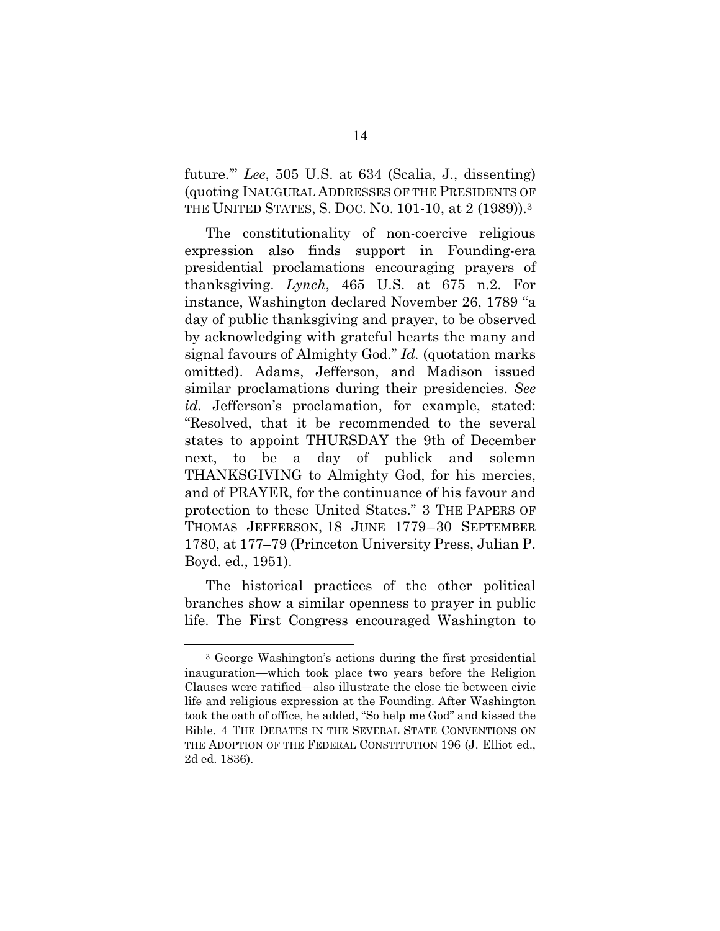future.'" *Lee*, 505 U.S. at 634 (Scalia, J., dissenting) (quoting INAUGURAL ADDRESSES OF THE PRESIDENTS OF THE UNITED STATES, S. DOC. NO. 101-10, at 2 (1989)).3

The constitutionality of non-coercive religious expression also finds support in Founding-era presidential proclamations encouraging prayers of thanksgiving. *Lynch*, 465 U.S. at 675 n.2. For instance, Washington declared November 26, 1789 "a day of public thanksgiving and prayer, to be observed by acknowledging with grateful hearts the many and signal favours of Almighty God." *Id.* (quotation marks omitted). Adams, Jefferson, and Madison issued similar proclamations during their presidencies. *See id.* Jefferson's proclamation, for example, stated: "Resolved, that it be recommended to the several states to appoint THURSDAY the 9th of December next, to be a day of publick and solemn THANKSGIVING to Almighty God, for his mercies, and of PRAYER, for the continuance of his favour and protection to these United States." 3 THE PAPERS OF THOMAS JEFFERSON, 18 JUNE 1779–30 SEPTEMBER 1780, at 177–79 (Princeton University Press, Julian P. Boyd. ed., 1951).

The historical practices of the other political branches show a similar openness to prayer in public life. The First Congress encouraged Washington to

 $\overline{a}$ 

<sup>3</sup> George Washington's actions during the first presidential inauguration—which took place two years before the Religion Clauses were ratified—also illustrate the close tie between civic life and religious expression at the Founding. After Washington took the oath of office, he added, "So help me God" and kissed the Bible. 4 THE DEBATES IN THE SEVERAL STATE CONVENTIONS ON THE ADOPTION OF THE FEDERAL CONSTITUTION 196 (J. Elliot ed., 2d ed. 1836).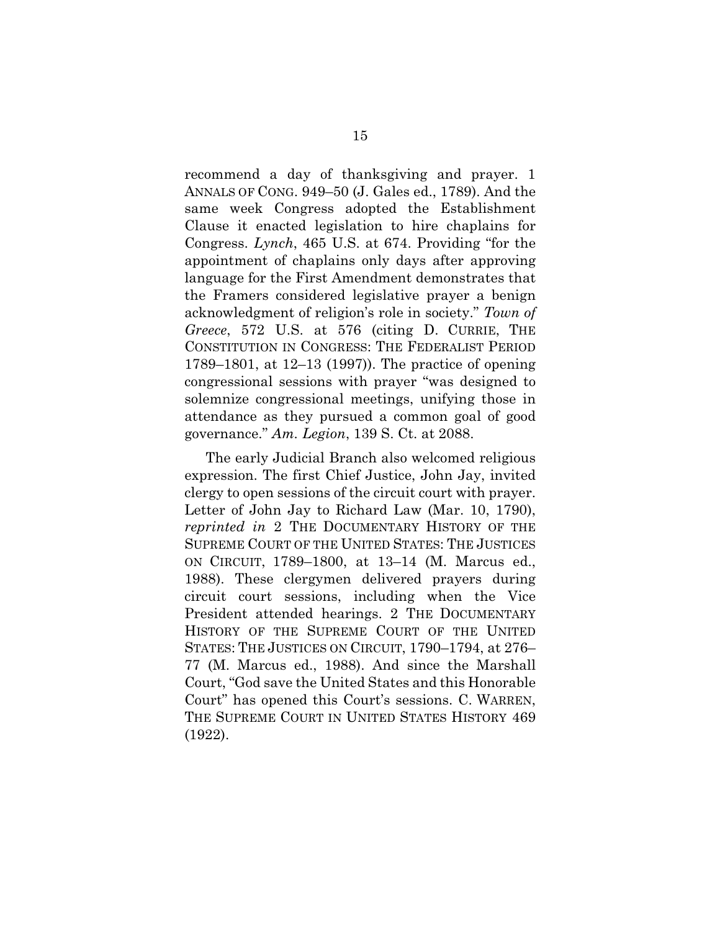recommend a day of thanksgiving and prayer. 1 ANNALS OF CONG. 949–50 (J. Gales ed., 1789). And the same week Congress adopted the Establishment Clause it enacted legislation to hire chaplains for Congress. *Lynch*, 465 U.S. at 674. Providing "for the appointment of chaplains only days after approving language for the First Amendment demonstrates that the Framers considered legislative prayer a benign acknowledgment of religion's role in society." *Town of Greece*, 572 U.S. at 576 (citing D. CURRIE, THE CONSTITUTION IN CONGRESS: THE FEDERALIST PERIOD 1789–1801, at 12–13 (1997)). The practice of opening congressional sessions with prayer "was designed to solemnize congressional meetings, unifying those in attendance as they pursued a common goal of good governance." *Am. Legion*, 139 S. Ct. at 2088.

The early Judicial Branch also welcomed religious expression. The first Chief Justice, John Jay, invited clergy to open sessions of the circuit court with prayer. Letter of John Jay to Richard Law (Mar. 10, 1790), *reprinted in* 2 THE DOCUMENTARY HISTORY OF THE SUPREME COURT OF THE UNITED STATES: THE JUSTICES ON CIRCUIT, 1789–1800, at 13–14 (M. Marcus ed., 1988). These clergymen delivered prayers during circuit court sessions, including when the Vice President attended hearings. 2 THE DOCUMENTARY HISTORY OF THE SUPREME COURT OF THE UNITED STATES: THE JUSTICES ON CIRCUIT, 1790–1794, at 276– 77 (M. Marcus ed., 1988). And since the Marshall Court, "God save the United States and this Honorable Court" has opened this Court's sessions. C. WARREN, THE SUPREME COURT IN UNITED STATES HISTORY 469 (1922).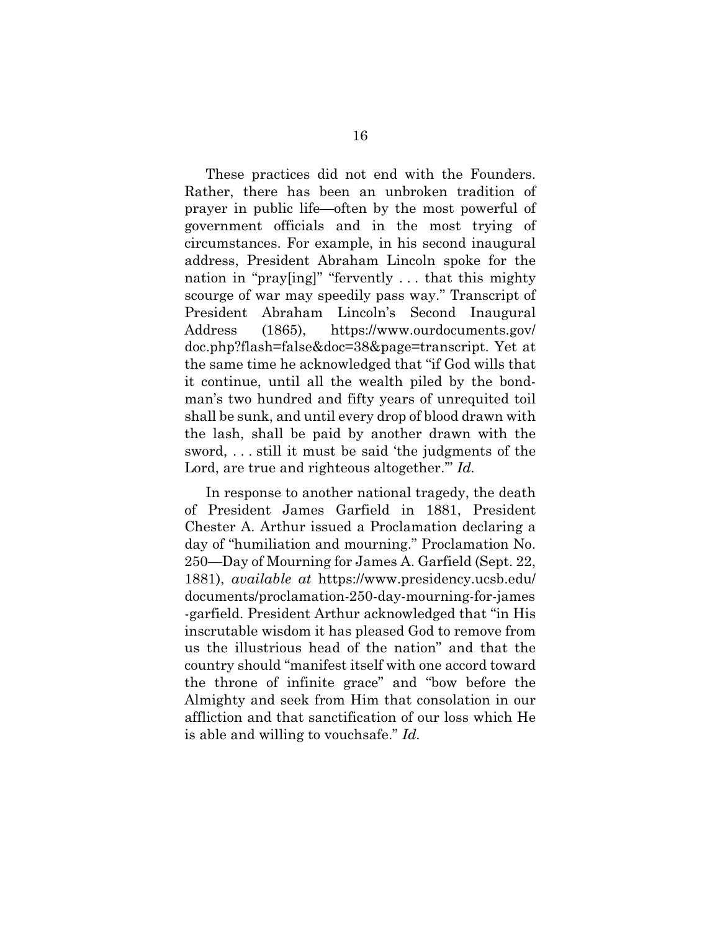These practices did not end with the Founders. Rather, there has been an unbroken tradition of prayer in public life—often by the most powerful of government officials and in the most trying of circumstances. For example, in his second inaugural address, President Abraham Lincoln spoke for the nation in "pray[ing]" "fervently . . . that this mighty scourge of war may speedily pass way." Transcript of President Abraham Lincoln's Second Inaugural Address (1865), https://www.ourdocuments.gov/ doc.php?flash=false&doc=38&page=transcript. Yet at the same time he acknowledged that "if God wills that it continue, until all the wealth piled by the bondman's two hundred and fifty years of unrequited toil shall be sunk, and until every drop of blood drawn with the lash, shall be paid by another drawn with the sword, . . . still it must be said 'the judgments of the Lord, are true and righteous altogether.'" *Id.*

In response to another national tragedy, the death of President James Garfield in 1881, President Chester A. Arthur issued a Proclamation declaring a day of "humiliation and mourning." Proclamation No. 250—Day of Mourning for James A. Garfield (Sept. 22, 1881), *available at* https://www.presidency.ucsb.edu/ documents/proclamation-250-day-mourning-for-james -garfield. President Arthur acknowledged that "in His inscrutable wisdom it has pleased God to remove from us the illustrious head of the nation" and that the country should "manifest itself with one accord toward the throne of infinite grace" and "bow before the Almighty and seek from Him that consolation in our affliction and that sanctification of our loss which He is able and willing to vouchsafe." *Id.*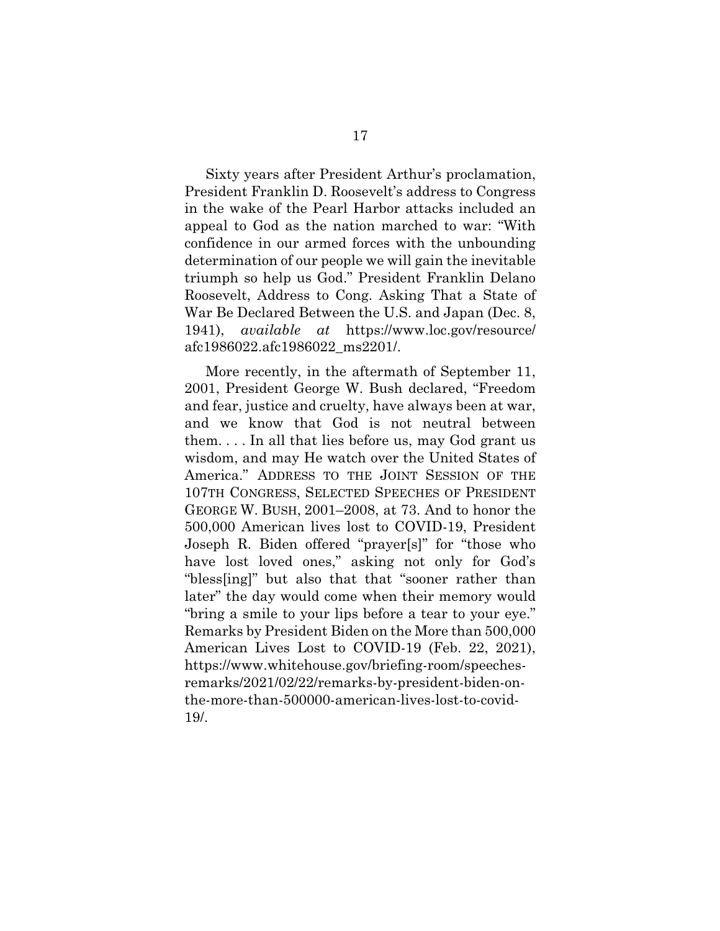Sixty years after President Arthur's proclamation, President Franklin D. Roosevelt's address to Congress in the wake of the Pearl Harbor attacks included an appeal to God as the nation marched to war: "With confidence in our armed forces with the unbounding determination of our people we will gain the inevitable triumph so help us God." President Franklin Delano Roosevelt, Address to Cong. Asking That a State of War Be Declared Between the U.S. and Japan (Dec. 8, 1941), *available at* https://www.loc.gov/resource/ afc1986022.afc1986022\_ms2201/.

More recently, in the aftermath of September 11, 2001, President George W. Bush declared, "Freedom and fear, justice and cruelty, have always been at war, and we know that God is not neutral between them. . . . In all that lies before us, may God grant us wisdom, and may He watch over the United States of America." ADDRESS TO THE JOINT SESSION OF THE 107TH CONGRESS, SELECTED SPEECHES OF PRESIDENT GEORGE W. BUSH, 2001–2008, at 73. And to honor the 500,000 American lives lost to COVID-19, President Joseph R. Biden offered "prayer[s]" for "those who have lost loved ones," asking not only for God's "bless[ing]" but also that that "sooner rather than later" the day would come when their memory would "bring a smile to your lips before a tear to your eye." Remarks by President Biden on the More than 500,000 American Lives Lost to COVID-19 (Feb. 22, 2021), https://www.whitehouse.gov/briefing-room/speechesremarks/2021/02/22/remarks-by-president-biden-onthe-more-than-500000-american-lives-lost-to-covid-19/.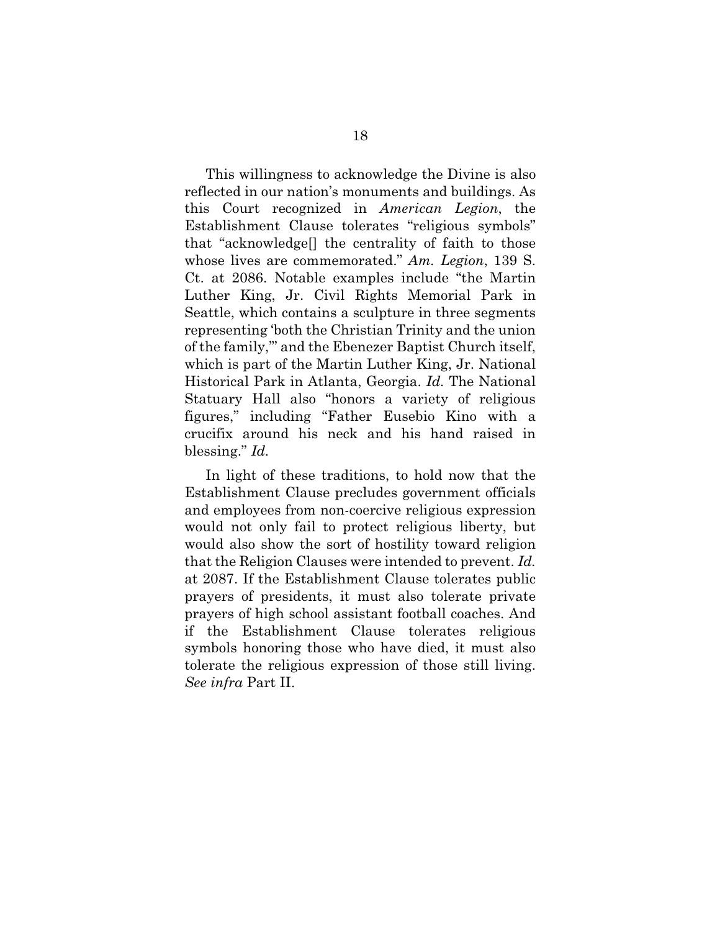This willingness to acknowledge the Divine is also reflected in our nation's monuments and buildings. As this Court recognized in *American Legion*, the Establishment Clause tolerates "religious symbols" that "acknowledge[] the centrality of faith to those whose lives are commemorated." *Am. Legion*, 139 S. Ct. at 2086. Notable examples include "the Martin Luther King, Jr. Civil Rights Memorial Park in Seattle, which contains a sculpture in three segments representing 'both the Christian Trinity and the union of the family,'" and the Ebenezer Baptist Church itself, which is part of the Martin Luther King, Jr. National Historical Park in Atlanta, Georgia. *Id.* The National Statuary Hall also "honors a variety of religious figures," including "Father Eusebio Kino with a crucifix around his neck and his hand raised in blessing." *Id.* 

In light of these traditions, to hold now that the Establishment Clause precludes government officials and employees from non-coercive religious expression would not only fail to protect religious liberty, but would also show the sort of hostility toward religion that the Religion Clauses were intended to prevent. *Id.*  at 2087. If the Establishment Clause tolerates public prayers of presidents, it must also tolerate private prayers of high school assistant football coaches. And if the Establishment Clause tolerates religious symbols honoring those who have died, it must also tolerate the religious expression of those still living. *See infra* Part II.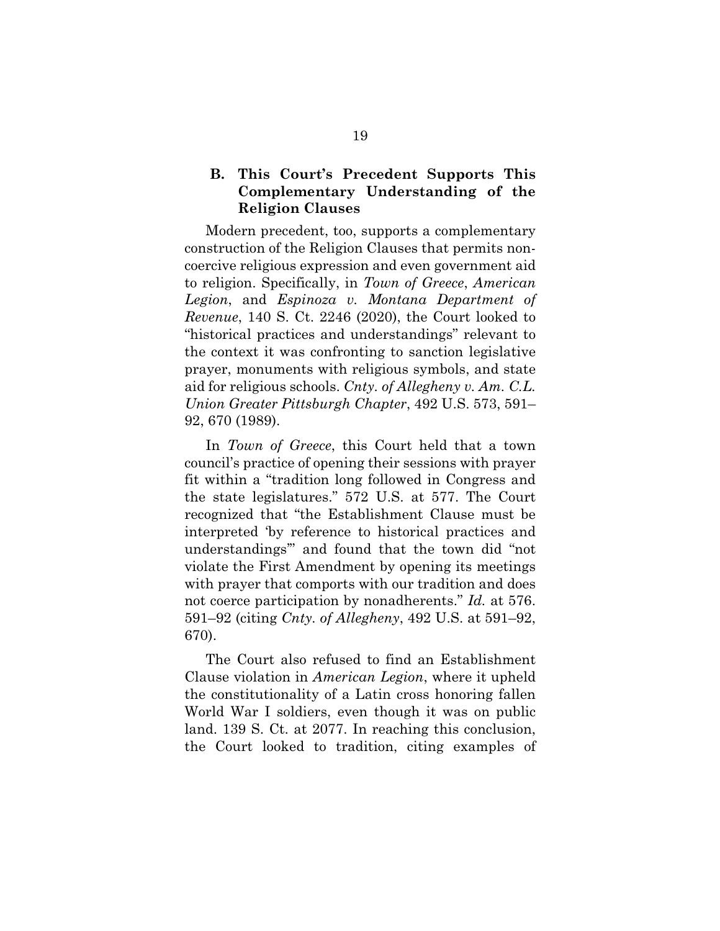#### **B. This Court's Precedent Supports This Complementary Understanding of the Religion Clauses**

Modern precedent, too, supports a complementary construction of the Religion Clauses that permits noncoercive religious expression and even government aid to religion. Specifically, in *Town of Greece*, *American Legion*, and *Espinoza v. Montana Department of Revenue*, 140 S. Ct. 2246 (2020), the Court looked to "historical practices and understandings" relevant to the context it was confronting to sanction legislative prayer, monuments with religious symbols, and state aid for religious schools. *Cnty. of Allegheny v. Am. C.L. Union Greater Pittsburgh Chapter*, 492 U.S. 573, 591– 92, 670 (1989).

In *Town of Greece*, this Court held that a town council's practice of opening their sessions with prayer fit within a "tradition long followed in Congress and the state legislatures." 572 U.S. at 577. The Court recognized that "the Establishment Clause must be interpreted 'by reference to historical practices and understandings'" and found that the town did "not violate the First Amendment by opening its meetings with prayer that comports with our tradition and does not coerce participation by nonadherents." *Id.* at 576. 591–92 (citing *Cnty. of Allegheny*, 492 U.S. at 591–92, 670).

The Court also refused to find an Establishment Clause violation in *American Legion*, where it upheld the constitutionality of a Latin cross honoring fallen World War I soldiers, even though it was on public land. 139 S. Ct. at 2077. In reaching this conclusion, the Court looked to tradition, citing examples of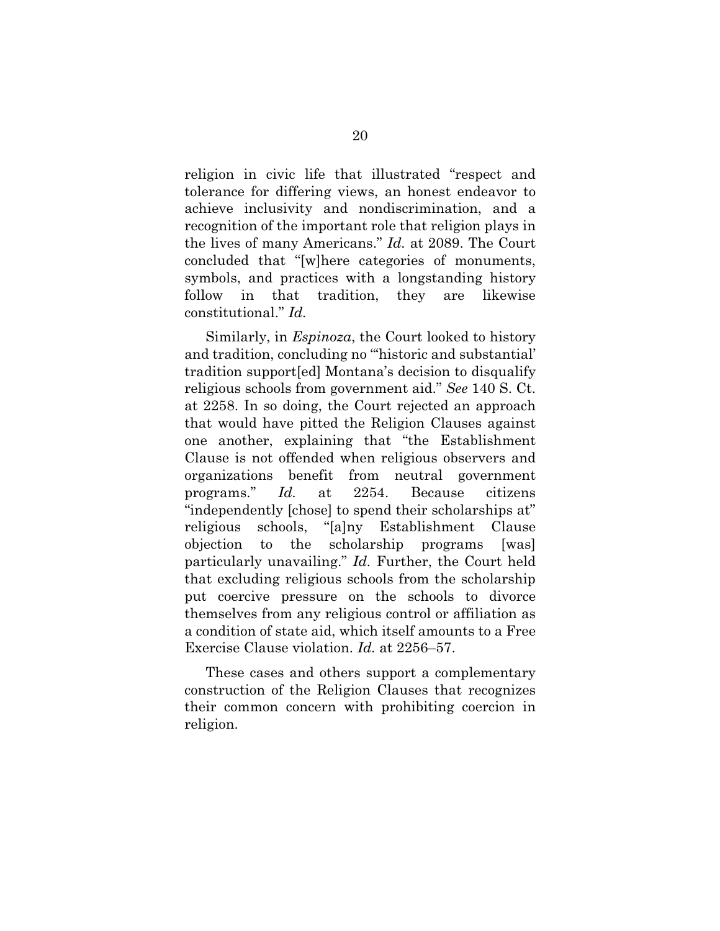religion in civic life that illustrated "respect and tolerance for differing views, an honest endeavor to achieve inclusivity and nondiscrimination, and a recognition of the important role that religion plays in the lives of many Americans." *Id.* at 2089. The Court concluded that "[w]here categories of monuments, symbols, and practices with a longstanding history follow in that tradition, they are likewise constitutional." *Id.* 

Similarly, in *Espinoza*, the Court looked to history and tradition, concluding no "'historic and substantial' tradition support[ed] Montana's decision to disqualify religious schools from government aid." *See* 140 S. Ct. at 2258. In so doing, the Court rejected an approach that would have pitted the Religion Clauses against one another, explaining that "the Establishment Clause is not offended when religious observers and organizations benefit from neutral government programs." *Id.* at 2254. Because citizens "independently [chose] to spend their scholarships at" religious schools, "[a]ny Establishment Clause objection to the scholarship programs [was] particularly unavailing." *Id.* Further, the Court held that excluding religious schools from the scholarship put coercive pressure on the schools to divorce themselves from any religious control or affiliation as a condition of state aid, which itself amounts to a Free Exercise Clause violation. *Id.* at 2256–57.

These cases and others support a complementary construction of the Religion Clauses that recognizes their common concern with prohibiting coercion in religion.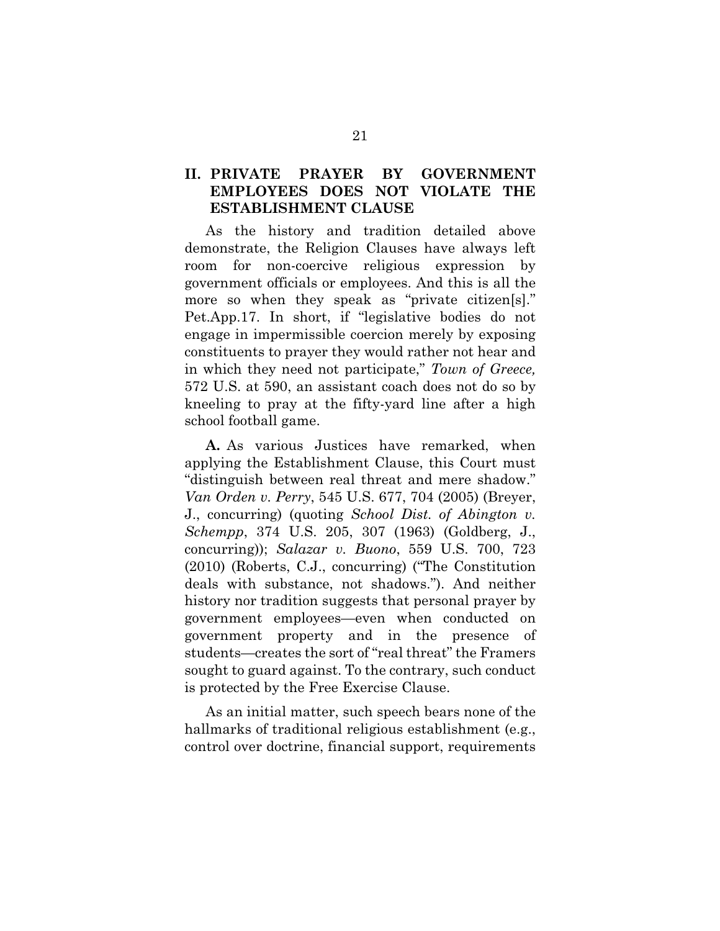### **II. PRIVATE PRAYER BY GOVERNMENT EMPLOYEES DOES NOT VIOLATE THE ESTABLISHMENT CLAUSE**

As the history and tradition detailed above demonstrate, the Religion Clauses have always left room for non-coercive religious expression by government officials or employees. And this is all the more so when they speak as "private citizen[s]." Pet.App.17. In short, if "legislative bodies do not engage in impermissible coercion merely by exposing constituents to prayer they would rather not hear and in which they need not participate," *Town of Greece,*  572 U.S. at 590, an assistant coach does not do so by kneeling to pray at the fifty-yard line after a high school football game.

**A.** As various Justices have remarked, when applying the Establishment Clause, this Court must "distinguish between real threat and mere shadow." *Van Orden v. Perry*, 545 U.S. 677, 704 (2005) (Breyer, J., concurring) (quoting *School Dist. of Abington v. Schempp*, 374 U.S. 205, 307 (1963) (Goldberg, J., concurring)); *Salazar v. Buono*, 559 U.S. 700, 723 (2010) (Roberts, C.J., concurring) ("The Constitution deals with substance, not shadows."). And neither history nor tradition suggests that personal prayer by government employees—even when conducted on government property and in the presence of students—creates the sort of "real threat" the Framers sought to guard against. To the contrary, such conduct is protected by the Free Exercise Clause.

As an initial matter, such speech bears none of the hallmarks of traditional religious establishment (e.g., control over doctrine, financial support, requirements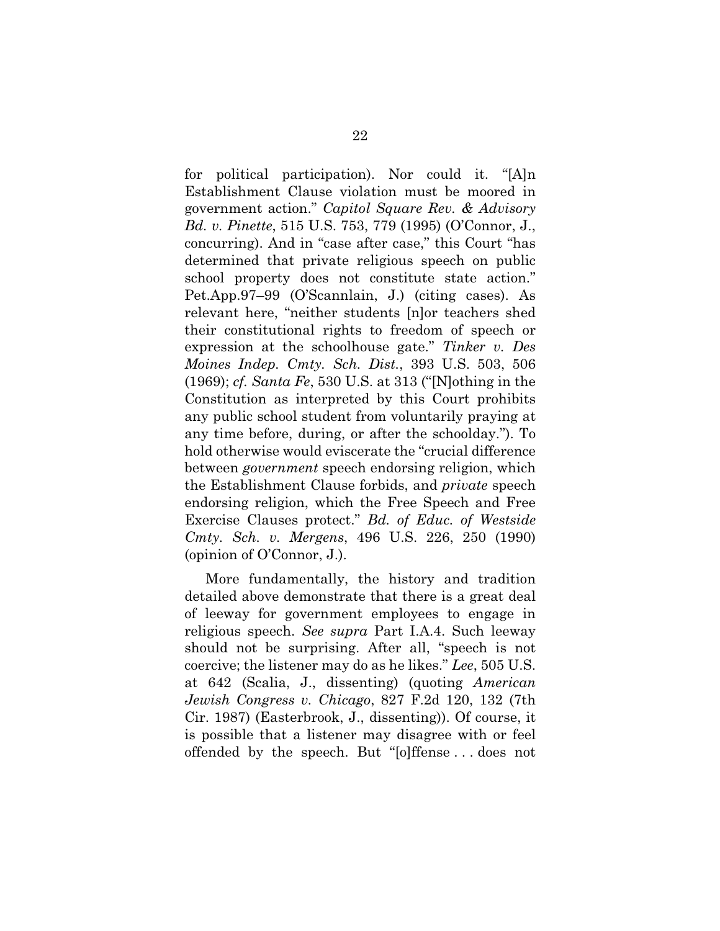for political participation). Nor could it. "[A]n Establishment Clause violation must be moored in government action." *Capitol Square Rev. & Advisory Bd. v. Pinette*, 515 U.S. 753, 779 (1995) (O'Connor, J., concurring). And in "case after case," this Court "has determined that private religious speech on public school property does not constitute state action." Pet.App.97–99 (O'Scannlain, J.) (citing cases). As relevant here, "neither students [n]or teachers shed their constitutional rights to freedom of speech or expression at the schoolhouse gate." *Tinker v. Des Moines Indep. Cmty. Sch. Dist.*, 393 U.S. 503, 506 (1969); *cf. Santa Fe*, 530 U.S. at 313 ("[N]othing in the Constitution as interpreted by this Court prohibits any public school student from voluntarily praying at any time before, during, or after the schoolday."). To hold otherwise would eviscerate the "crucial difference between *government* speech endorsing religion, which the Establishment Clause forbids, and *private* speech endorsing religion, which the Free Speech and Free Exercise Clauses protect." *Bd. of Educ. of Westside Cmty. Sch. v. Mergens*, 496 U.S. 226, 250 (1990) (opinion of O'Connor, J.).

More fundamentally, the history and tradition detailed above demonstrate that there is a great deal of leeway for government employees to engage in religious speech. *See supra* Part I.A.4. Such leeway should not be surprising. After all, "speech is not coercive; the listener may do as he likes." *Lee*, 505 U.S. at 642 (Scalia, J., dissenting) (quoting *American Jewish Congress v. Chicago*, 827 F.2d 120, 132 (7th Cir. 1987) (Easterbrook, J., dissenting)). Of course, it is possible that a listener may disagree with or feel offended by the speech. But "[o]ffense . . . does not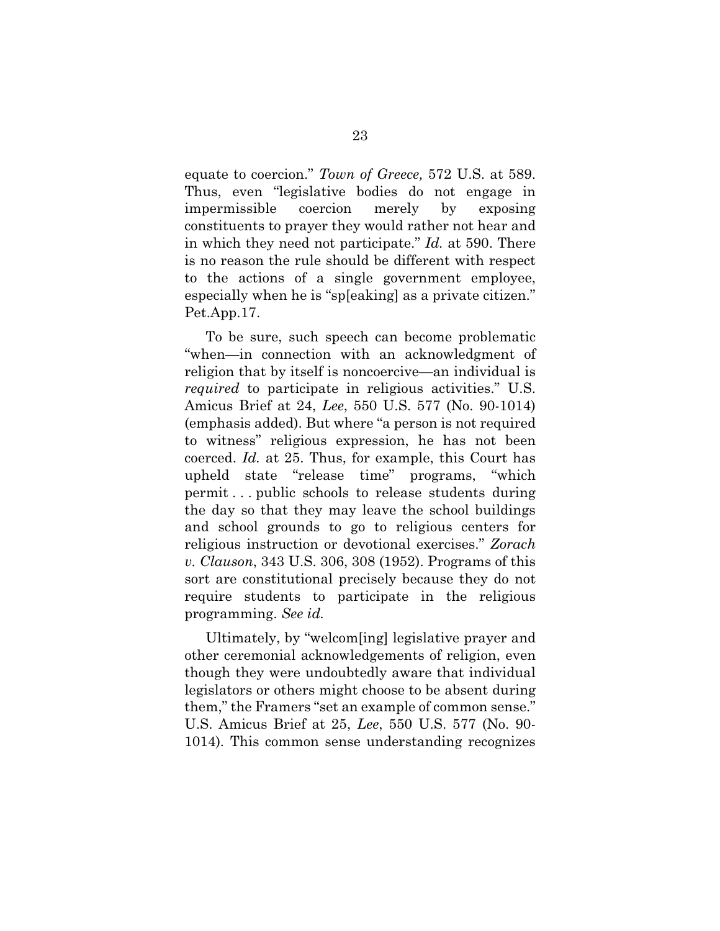equate to coercion." *Town of Greece,* 572 U.S. at 589. Thus, even "legislative bodies do not engage in impermissible coercion merely by exposing constituents to prayer they would rather not hear and in which they need not participate." *Id.* at 590. There is no reason the rule should be different with respect to the actions of a single government employee, especially when he is "sp[eaking] as a private citizen." Pet.App.17.

To be sure, such speech can become problematic "when—in connection with an acknowledgment of religion that by itself is noncoercive—an individual is *required* to participate in religious activities." U.S. Amicus Brief at 24, *Lee*, 550 U.S. 577 (No. 90-1014) (emphasis added). But where "a person is not required to witness" religious expression, he has not been coerced. *Id.* at 25. Thus, for example, this Court has upheld state "release time" programs, "which permit . . . public schools to release students during the day so that they may leave the school buildings and school grounds to go to religious centers for religious instruction or devotional exercises." *Zorach v. Clauson*, 343 U.S. 306, 308 (1952). Programs of this sort are constitutional precisely because they do not require students to participate in the religious programming. *See id.* 

Ultimately, by "welcom[ing] legislative prayer and other ceremonial acknowledgements of religion, even though they were undoubtedly aware that individual legislators or others might choose to be absent during them," the Framers "set an example of common sense." U.S. Amicus Brief at 25, *Lee*, 550 U.S. 577 (No. 90- 1014)*.* This common sense understanding recognizes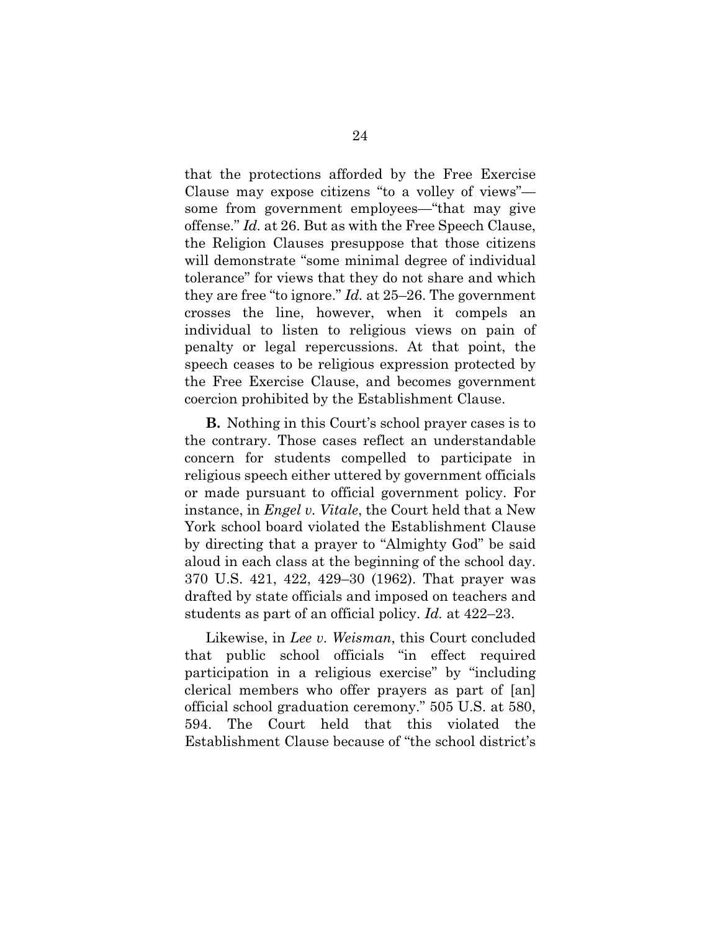that the protections afforded by the Free Exercise Clause may expose citizens "to a volley of views" some from government employees—"that may give offense." *Id.* at 26. But as with the Free Speech Clause, the Religion Clauses presuppose that those citizens will demonstrate "some minimal degree of individual tolerance" for views that they do not share and which they are free "to ignore." *Id.* at 25–26. The government crosses the line, however, when it compels an individual to listen to religious views on pain of penalty or legal repercussions. At that point, the speech ceases to be religious expression protected by the Free Exercise Clause, and becomes government coercion prohibited by the Establishment Clause.

**B.** Nothing in this Court's school prayer cases is to the contrary. Those cases reflect an understandable concern for students compelled to participate in religious speech either uttered by government officials or made pursuant to official government policy. For instance, in *Engel v. Vitale*, the Court held that a New York school board violated the Establishment Clause by directing that a prayer to "Almighty God" be said aloud in each class at the beginning of the school day. 370 U.S. 421, 422, 429–30 (1962). That prayer was drafted by state officials and imposed on teachers and students as part of an official policy. *Id.* at 422–23.

Likewise, in *Lee v. Weisman*, this Court concluded that public school officials "in effect required participation in a religious exercise" by "including clerical members who offer prayers as part of [an] official school graduation ceremony." 505 U.S. at 580, 594. The Court held that this violated the Establishment Clause because of "the school district's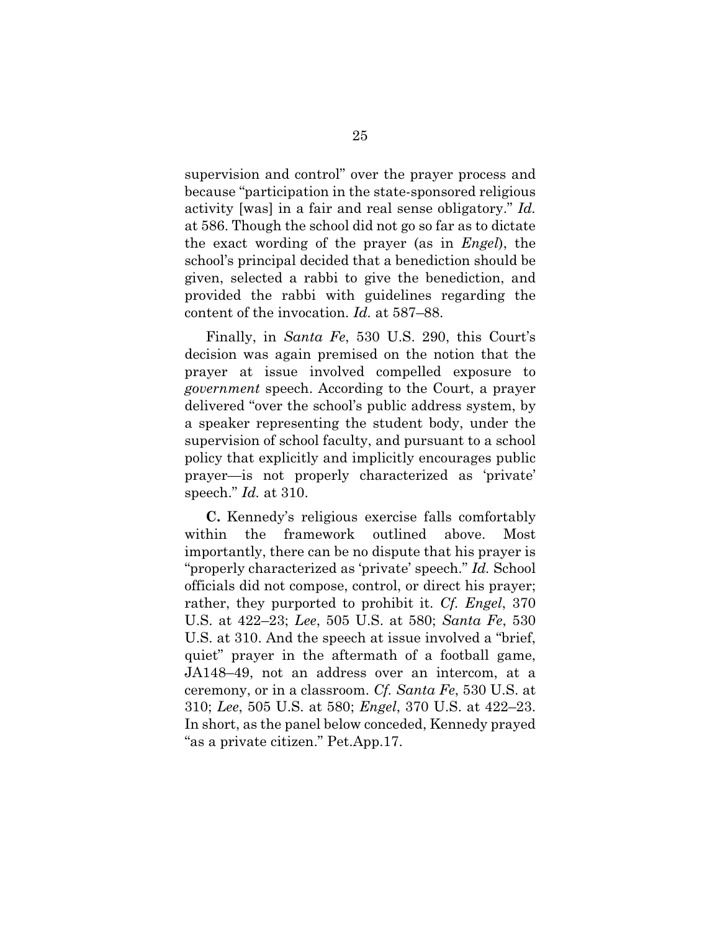supervision and control" over the prayer process and because "participation in the state-sponsored religious activity [was] in a fair and real sense obligatory." *Id.*  at 586. Though the school did not go so far as to dictate the exact wording of the prayer (as in *Engel*), the school's principal decided that a benediction should be given, selected a rabbi to give the benediction, and provided the rabbi with guidelines regarding the content of the invocation. *Id.* at 587–88.

Finally, in *Santa Fe*, 530 U.S. 290, this Court's decision was again premised on the notion that the prayer at issue involved compelled exposure to *government* speech. According to the Court, a prayer delivered "over the school's public address system, by a speaker representing the student body, under the supervision of school faculty, and pursuant to a school policy that explicitly and implicitly encourages public prayer—is not properly characterized as 'private' speech." *Id.* at 310.

**C.** Kennedy's religious exercise falls comfortably within the framework outlined above. Most importantly, there can be no dispute that his prayer is "properly characterized as 'private' speech." *Id.* School officials did not compose, control, or direct his prayer; rather, they purported to prohibit it. *Cf. Engel*, 370 U.S. at 422–23; *Lee*, 505 U.S. at 580; *Santa Fe*, 530 U.S. at 310. And the speech at issue involved a "brief, quiet" prayer in the aftermath of a football game, JA148–49, not an address over an intercom, at a ceremony, or in a classroom. *Cf. Santa Fe*, 530 U.S. at 310; *Lee*, 505 U.S. at 580; *Engel*, 370 U.S. at 422–23. In short, as the panel below conceded, Kennedy prayed "as a private citizen." Pet.App.17.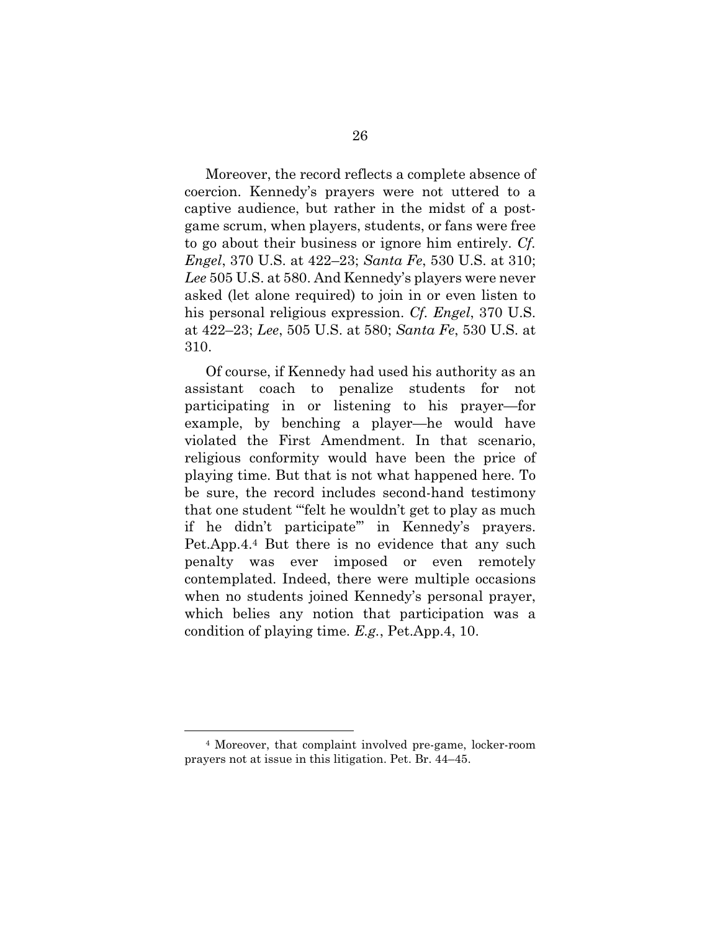Moreover, the record reflects a complete absence of coercion. Kennedy's prayers were not uttered to a captive audience, but rather in the midst of a postgame scrum, when players, students, or fans were free to go about their business or ignore him entirely. *Cf. Engel*, 370 U.S. at 422–23; *Santa Fe*, 530 U.S. at 310; *Lee* 505 U.S. at 580. And Kennedy's players were never asked (let alone required) to join in or even listen to his personal religious expression. *Cf. Engel*, 370 U.S. at 422–23; *Lee*, 505 U.S. at 580; *Santa Fe*, 530 U.S. at 310.

Of course, if Kennedy had used his authority as an assistant coach to penalize students for not participating in or listening to his prayer—for example, by benching a player—he would have violated the First Amendment. In that scenario, religious conformity would have been the price of playing time. But that is not what happened here. To be sure, the record includes second-hand testimony that one student "'felt he wouldn't get to play as much if he didn't participate'" in Kennedy's prayers. Pet.App.4.4 But there is no evidence that any such penalty was ever imposed or even remotely contemplated. Indeed, there were multiple occasions when no students joined Kennedy's personal prayer, which belies any notion that participation was a condition of playing time. *E.g.*, Pet.App.4, 10.

1

<sup>4</sup> Moreover, that complaint involved pre-game, locker-room prayers not at issue in this litigation. Pet. Br. 44–45.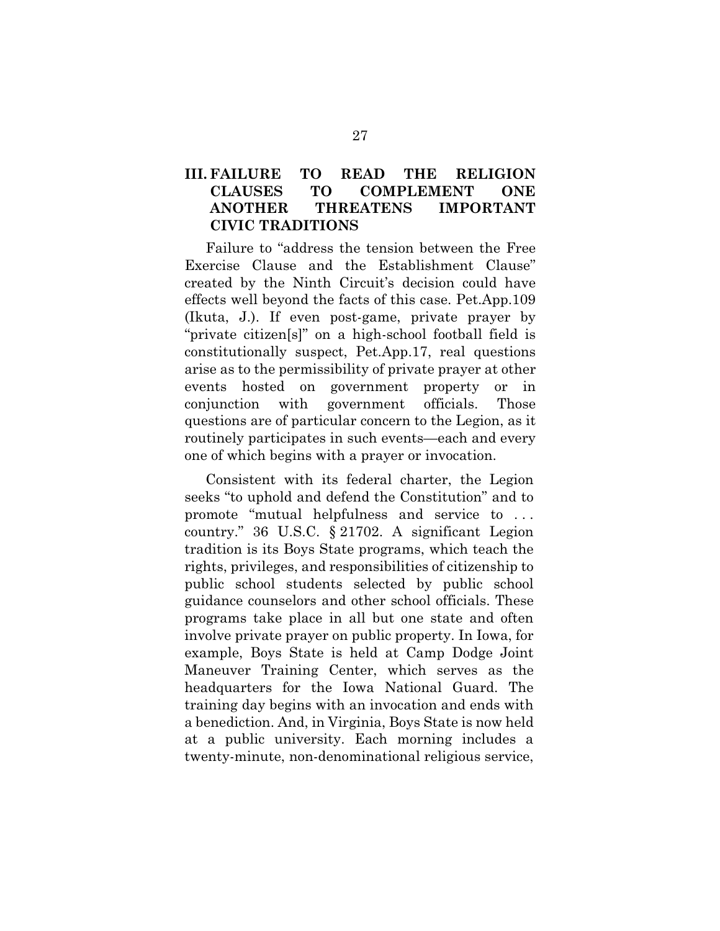### **III. FAILURE TO READ THE RELIGION CLAUSES TO COMPLEMENT ONE ANOTHER THREATENS IMPORTANT CIVIC TRADITIONS**

Failure to "address the tension between the Free Exercise Clause and the Establishment Clause" created by the Ninth Circuit's decision could have effects well beyond the facts of this case. Pet.App.109 (Ikuta, J.). If even post-game, private prayer by "private citizen[s]" on a high-school football field is constitutionally suspect, Pet.App.17, real questions arise as to the permissibility of private prayer at other events hosted on government property or in conjunction with government officials. Those questions are of particular concern to the Legion, as it routinely participates in such events—each and every one of which begins with a prayer or invocation.

Consistent with its federal charter, the Legion seeks "to uphold and defend the Constitution" and to promote "mutual helpfulness and service to . . . country." 36 U.S.C. § 21702. A significant Legion tradition is its Boys State programs, which teach the rights, privileges, and responsibilities of citizenship to public school students selected by public school guidance counselors and other school officials. These programs take place in all but one state and often involve private prayer on public property. In Iowa, for example, Boys State is held at Camp Dodge Joint Maneuver Training Center, which serves as the headquarters for the Iowa National Guard. The training day begins with an invocation and ends with a benediction. And, in Virginia, Boys State is now held at a public university. Each morning includes a twenty-minute, non-denominational religious service,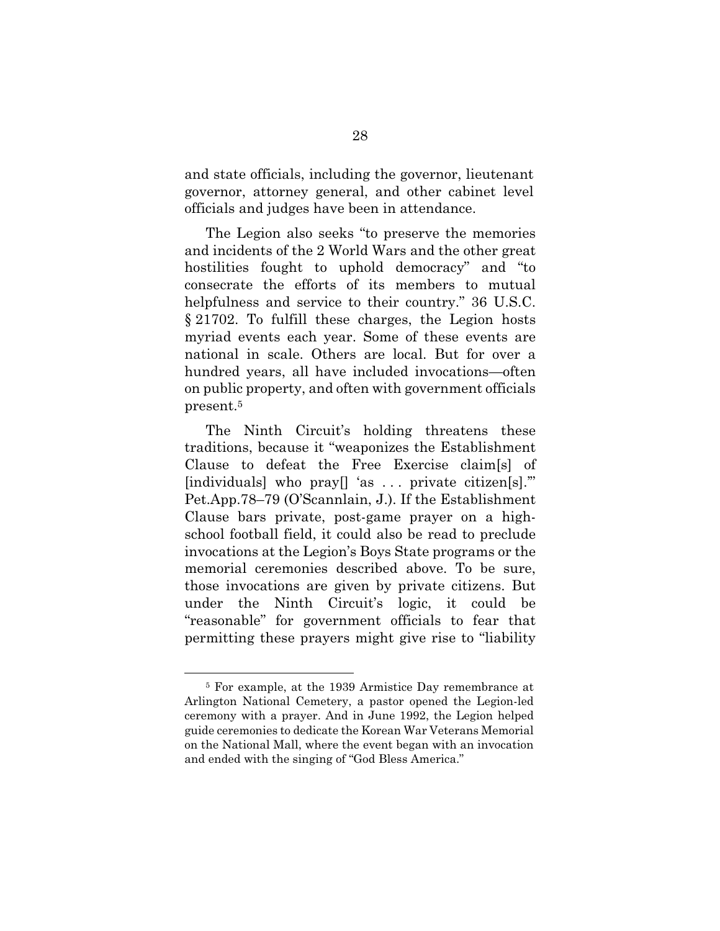and state officials, including the governor, lieutenant governor, attorney general, and other cabinet level officials and judges have been in attendance.

The Legion also seeks "to preserve the memories and incidents of the 2 World Wars and the other great hostilities fought to uphold democracy" and "to consecrate the efforts of its members to mutual helpfulness and service to their country." 36 U.S.C. § 21702. To fulfill these charges, the Legion hosts myriad events each year. Some of these events are national in scale. Others are local. But for over a hundred years, all have included invocations—often on public property, and often with government officials present.5

The Ninth Circuit's holding threatens these traditions, because it "weaponizes the Establishment Clause to defeat the Free Exercise claim[s] of [individuals] who pray  $\left[$  'as ... private citizen  $\left[$ ss]." Pet.App.78–79 (O'Scannlain, J.). If the Establishment Clause bars private, post-game prayer on a highschool football field, it could also be read to preclude invocations at the Legion's Boys State programs or the memorial ceremonies described above. To be sure, those invocations are given by private citizens. But under the Ninth Circuit's logic, it could be "reasonable" for government officials to fear that permitting these prayers might give rise to "liability

1

<sup>5</sup> For example, at the 1939 Armistice Day remembrance at Arlington National Cemetery, a pastor opened the Legion-led ceremony with a prayer. And in June 1992, the Legion helped guide ceremonies to dedicate the Korean War Veterans Memorial on the National Mall, where the event began with an invocation and ended with the singing of "God Bless America."